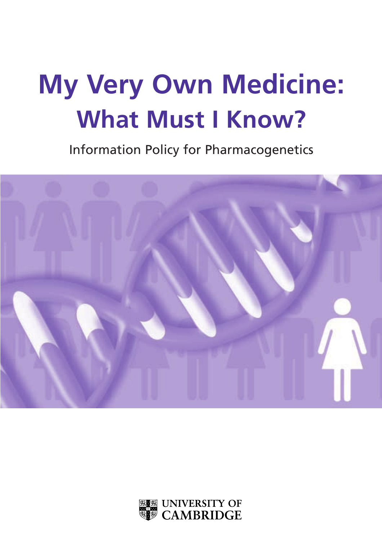# **My Very Own Medicine: What Must I Know?**

Information Policy for Pharmacogenetics



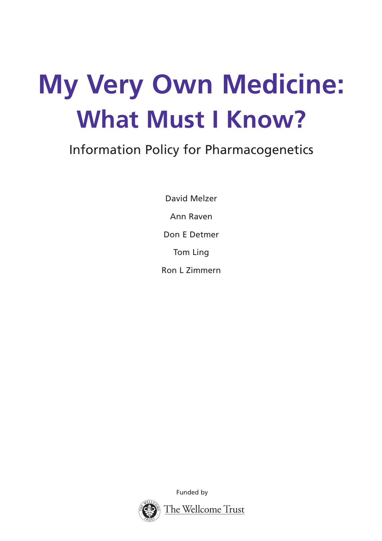# **My Very Own Medicine: What Must I Know?**

## Information Policy for Pharmacogenetics

David Melzer Ann Raven Don E Detmer Tom Ling Ron L Zimmern

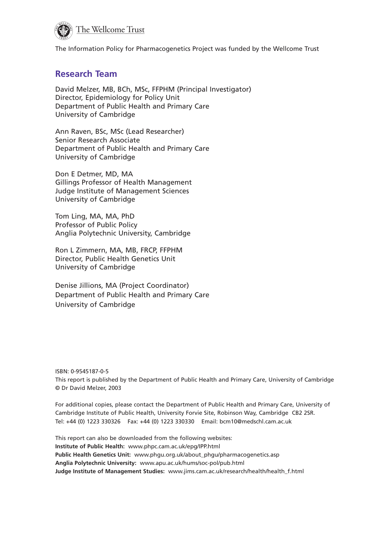

The Information Policy for Pharmacogenetics Project was funded by the Wellcome Trust

#### **Research Team**

David Melzer, MB, BCh, MSc, FFPHM (Principal Investigator) Director, Epidemiology for Policy Unit Department of Public Health and Primary Care University of Cambridge

Ann Raven, BSc, MSc (Lead Researcher) Senior Research Associate Department of Public Health and Primary Care University of Cambridge

Don E Detmer, MD, MA Gillings Professor of Health Management Judge Institute of Management Sciences University of Cambridge

Tom Ling, MA, MA, PhD Professor of Public Policy Anglia Polytechnic University, Cambridge

Ron L Zimmern, MA, MB, FRCP, FFPHM Director, Public Health Genetics Unit University of Cambridge

Denise Jillions, MA (Project Coordinator) Department of Public Health and Primary Care University of Cambridge

ISBN: 0-9545187-0-5 This report is published by the Department of Public Health and Primary Care, University of Cambridge © Dr David Melzer, 2003

For additional copies, please contact the Department of Public Health and Primary Care, University of Cambridge Institute of Public Health, University Forvie Site, Robinson Way, Cambridge CB2 2SR. Tel: +44 (0) 1223 330326 Fax: +44 (0) 1223 330330 Email: bcm10@medschl.cam.ac.uk

This report can also be downloaded from the following websites: **Institute of Public Health:** www.phpc.cam.ac.uk/epg/IPP.html **Public Health Genetics Unit:** www.phgu.org.uk/about\_phgu/pharmacogenetics.asp **Anglia Polytechnic University:** www.apu.ac.uk/hums/soc-pol/pub.html **Judge Institute of Management Studies:** www.jims.cam.ac.uk/research/health/health\_f.html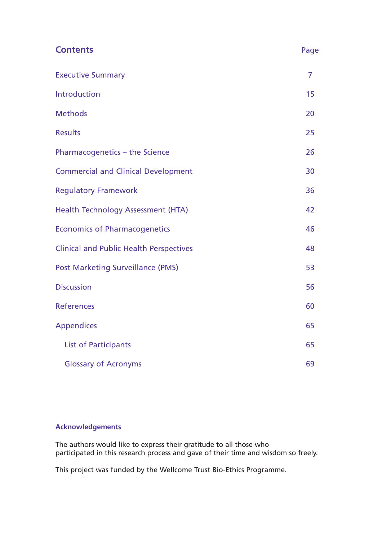| <b>Contents</b>                                | Page           |
|------------------------------------------------|----------------|
| <b>Executive Summary</b>                       | $\overline{7}$ |
| Introduction                                   | 15             |
| <b>Methods</b>                                 | 20             |
| <b>Results</b>                                 | 25             |
| Pharmacogenetics - the Science                 | 26             |
| <b>Commercial and Clinical Development</b>     | 30             |
| <b>Regulatory Framework</b>                    | 36             |
| Health Technology Assessment (HTA)             | 42             |
| <b>Economics of Pharmacogenetics</b>           | 46             |
| <b>Clinical and Public Health Perspectives</b> | 48             |
| <b>Post Marketing Surveillance (PMS)</b>       | 53             |
| <b>Discussion</b>                              | 56             |
| <b>References</b>                              | 60             |
| <b>Appendices</b>                              | 65             |
| <b>List of Participants</b>                    | 65             |
| <b>Glossary of Acronyms</b>                    | 69             |

#### **Acknowledgements**

The authors would like to express their gratitude to all those who participated in this research process and gave of their time and wisdom so freely.

This project was funded by the Wellcome Trust Bio-Ethics Programme.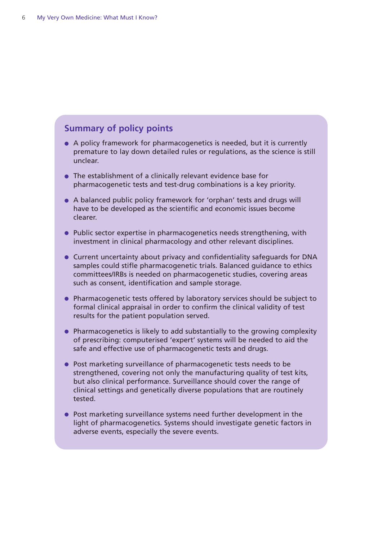#### **Summary of policy points**

- A policy framework for pharmacogenetics is needed, but it is currently premature to lay down detailed rules or regulations, as the science is still unclear.
- The establishment of a clinically relevant evidence base for pharmacogenetic tests and test-drug combinations is a key priority.
- A balanced public policy framework for 'orphan' tests and drugs will have to be developed as the scientific and economic issues become clearer.
- Public sector expertise in pharmacogenetics needs strengthening, with investment in clinical pharmacology and other relevant disciplines.
- Current uncertainty about privacy and confidentiality safeguards for DNA samples could stifle pharmacogenetic trials. Balanced guidance to ethics committees/IRBs is needed on pharmacogenetic studies, covering areas such as consent, identification and sample storage.
- Pharmacogenetic tests offered by laboratory services should be subject to formal clinical appraisal in order to confirm the clinical validity of test results for the patient population served.
- Pharmacogenetics is likely to add substantially to the growing complexity of prescribing: computerised 'expert' systems will be needed to aid the safe and effective use of pharmacogenetic tests and drugs.
- Post marketing surveillance of pharmacogenetic tests needs to be strengthened, covering not only the manufacturing quality of test kits, but also clinical performance. Surveillance should cover the range of clinical settings and genetically diverse populations that are routinely tested.
- Post marketing surveillance systems need further development in the light of pharmacogenetics. Systems should investigate genetic factors in adverse events, especially the severe events.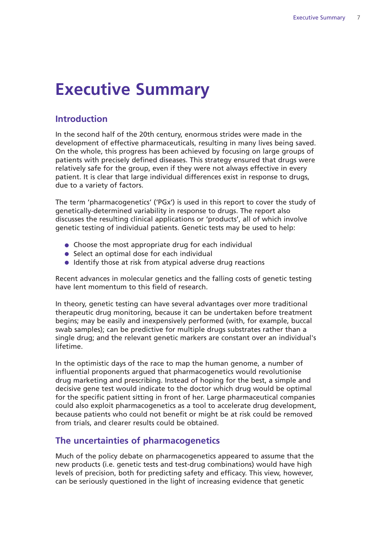## **Executive Summary**

#### **Introduction**

In the second half of the 20th century, enormous strides were made in the development of effective pharmaceuticals, resulting in many lives being saved. On the whole, this progress has been achieved by focusing on large groups of patients with precisely defined diseases. This strategy ensured that drugs were relatively safe for the group, even if they were not always effective in every patient. It is clear that large individual differences exist in response to drugs, due to a variety of factors.

The term 'pharmacogenetics' ('PGx') is used in this report to cover the study of genetically-determined variability in response to drugs. The report also discusses the resulting clinical applications or 'products', all of which involve genetic testing of individual patients. Genetic tests may be used to help:

- Choose the most appropriate drug for each individual
- Select an optimal dose for each individual
- Identify those at risk from atypical adverse drug reactions

Recent advances in molecular genetics and the falling costs of genetic testing have lent momentum to this field of research.

In theory, genetic testing can have several advantages over more traditional therapeutic drug monitoring, because it can be undertaken before treatment begins; may be easily and inexpensively performed (with, for example, buccal swab samples); can be predictive for multiple drugs substrates rather than a single drug; and the relevant genetic markers are constant over an individual's lifetime.

In the optimistic days of the race to map the human genome, a number of influential proponents argued that pharmacogenetics would revolutionise drug marketing and prescribing. Instead of hoping for the best, a simple and decisive gene test would indicate to the doctor which drug would be optimal for the specific patient sitting in front of her. Large pharmaceutical companies could also exploit pharmacogenetics as a tool to accelerate drug development, because patients who could not benefit or might be at risk could be removed from trials, and clearer results could be obtained.

#### **The uncertainties of pharmacogenetics**

Much of the policy debate on pharmacogenetics appeared to assume that the new products (i.e. genetic tests and test-drug combinations) would have high levels of precision, both for predicting safety and efficacy. This view, however, can be seriously questioned in the light of increasing evidence that genetic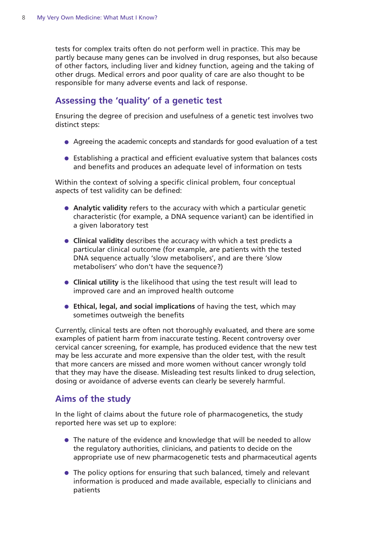tests for complex traits often do not perform well in practice. This may be partly because many genes can be involved in drug responses, but also because of other factors, including liver and kidney function, ageing and the taking of other drugs. Medical errors and poor quality of care are also thought to be responsible for many adverse events and lack of response.

#### **Assessing the 'quality' of a genetic test**

Ensuring the degree of precision and usefulness of a genetic test involves two distinct steps:

- Agreeing the academic concepts and standards for good evaluation of a test
- Establishing a practical and efficient evaluative system that balances costs and benefits and produces an adequate level of information on tests

Within the context of solving a specific clinical problem, four conceptual aspects of test validity can be defined:

- **Analytic validity** refers to the accuracy with which a particular genetic characteristic (for example, a DNA sequence variant) can be identified in a given laboratory test
- **Clinical validity** describes the accuracy with which a test predicts a particular clinical outcome (for example, are patients with the tested DNA sequence actually 'slow metabolisers', and are there 'slow metabolisers' who don't have the sequence?)
- **Clinical utility** is the likelihood that using the test result will lead to improved care and an improved health outcome
- **Ethical, legal, and social implications** of having the test, which may sometimes outweigh the benefits

Currently, clinical tests are often not thoroughly evaluated, and there are some examples of patient harm from inaccurate testing. Recent controversy over cervical cancer screening, for example, has produced evidence that the new test may be less accurate and more expensive than the older test, with the result that more cancers are missed and more women without cancer wrongly told that they may have the disease. Misleading test results linked to drug selection, dosing or avoidance of adverse events can clearly be severely harmful.

#### **Aims of the study**

In the light of claims about the future role of pharmacogenetics, the study reported here was set up to explore:

- The nature of the evidence and knowledge that will be needed to allow the regulatory authorities, clinicians, and patients to decide on the appropriate use of new pharmacogenetic tests and pharmaceutical agents
- The policy options for ensuring that such balanced, timely and relevant information is produced and made available, especially to clinicians and patients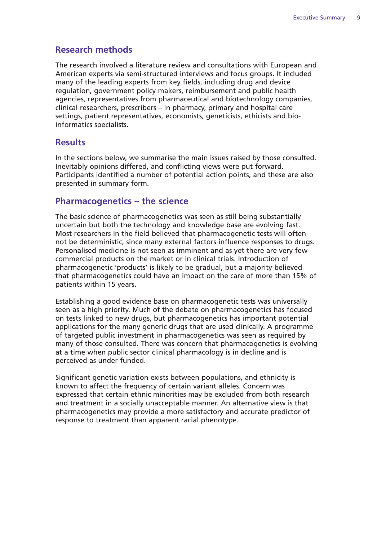#### **Research methods**

The research involved a literature review and consultations with European and American experts via semi-structured interviews and focus groups. It included many of the leading experts from key fields, including drug and device regulation, government policy makers, reimbursement and public health agencies, representatives from pharmaceutical and biotechnology companies, clinical researchers, prescribers – in pharmacy, primary and hospital care settings, patient representatives, economists, geneticists, ethicists and bioinformatics specialists.

#### **Results**

In the sections below, we summarise the main issues raised by those consulted. Inevitably opinions differed, and conflicting views were put forward. Participants identified a number of potential action points, and these are also presented in summary form.

#### **Pharmacogenetics – the science**

The basic science of pharmacogenetics was seen as still being substantially uncertain but both the technology and knowledge base are evolving fast. Most researchers in the field believed that pharmacogenetic tests will often not be deterministic, since many external factors influence responses to drugs. Personalised medicine is not seen as imminent and as yet there are very few commercial products on the market or in clinical trials. Introduction of pharmacogenetic 'products' is likely to be gradual, but a majority believed that pharmacogenetics could have an impact on the care of more than 15% of patients within 15 years.

Establishing a good evidence base on pharmacogenetic tests was universally seen as a high priority. Much of the debate on pharmacogenetics has focused on tests linked to new drugs, but pharmacogenetics has important potential applications for the many generic drugs that are used clinically. A programme of targeted public investment in pharmacogenetics was seen as required by many of those consulted. There was concern that pharmacogenetics is evolving at a time when public sector clinical pharmacology is in decline and is perceived as under-funded.

Significant genetic variation exists between populations, and ethnicity is known to affect the frequency of certain variant alleles. Concern was expressed that certain ethnic minorities may be excluded from both research and treatment in a socially unacceptable manner. An alternative view is that pharmacogenetics may provide a more satisfactory and accurate predictor of response to treatment than apparent racial phenotype.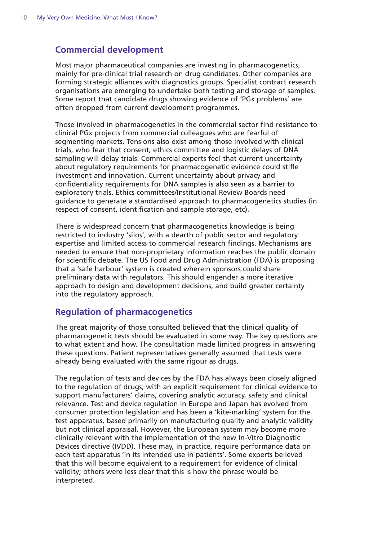#### **Commercial development**

Most major pharmaceutical companies are investing in pharmacogenetics, mainly for pre-clinical trial research on drug candidates. Other companies are forming strategic alliances with diagnostics groups. Specialist contract research organisations are emerging to undertake both testing and storage of samples. Some report that candidate drugs showing evidence of 'PGx problems' are often dropped from current development programmes.

Those involved in pharmacogenetics in the commercial sector find resistance to clinical PGx projects from commercial colleagues who are fearful of segmenting markets. Tensions also exist among those involved with clinical trials, who fear that consent, ethics committee and logistic delays of DNA sampling will delay trials. Commercial experts feel that current uncertainty about regulatory requirements for pharmacogenetic evidence could stifle investment and innovation. Current uncertainty about privacy and confidentiality requirements for DNA samples is also seen as a barrier to exploratory trials. Ethics committees/Institutional Review Boards need guidance to generate a standardised approach to pharmacogenetics studies (in respect of consent, identification and sample storage, etc).

There is widespread concern that pharmacogenetics knowledge is being restricted to industry 'silos', with a dearth of public sector and regulatory expertise and limited access to commercial research findings. Mechanisms are needed to ensure that non-proprietary information reaches the public domain for scientific debate. The US Food and Drug Administration (FDA) is proposing that a 'safe harbour' system is created wherein sponsors could share preliminary data with regulators. This should engender a more iterative approach to design and development decisions, and build greater certainty into the regulatory approach.

#### **Regulation of pharmacogenetics**

The great majority of those consulted believed that the clinical quality of pharmacogenetic tests should be evaluated in some way. The key questions are to what extent and how. The consultation made limited progress in answering these questions. Patient representatives generally assumed that tests were already being evaluated with the same rigour as drugs.

The regulation of tests and devices by the FDA has always been closely aligned to the regulation of drugs, with an explicit requirement for clinical evidence to support manufacturers' claims, covering analytic accuracy, safety and clinical relevance. Test and device regulation in Europe and Japan has evolved from consumer protection legislation and has been a 'kite-marking' system for the test apparatus, based primarily on manufacturing quality and analytic validity but not clinical appraisal. However, the European system may become more clinically relevant with the implementation of the new In-Vitro Diagnostic Devices directive (IVDD). These may, in practice, require performance data on each test apparatus 'in its intended use in patients'. Some experts believed that this will become equivalent to a requirement for evidence of clinical validity; others were less clear that this is how the phrase would be interpreted.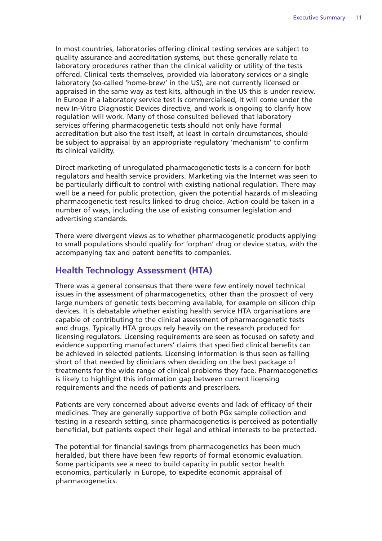In most countries, laboratories offering clinical testing services are subject to quality assurance and accreditation systems, but these generally relate to laboratory procedures rather than the clinical validity or utility of the tests offered. Clinical tests themselves, provided via laboratory services or a single laboratory (so-called 'home-brew' in the US), are not currently licensed or appraised in the same way as test kits, although in the US this is under review. In Europe if a laboratory service test is commercialised, it will come under the new In-Vitro Diagnostic Devices directive, and work is ongoing to clarify how regulation will work. Many of those consulted believed that laboratory services offering pharmacogenetic tests should not only have formal accreditation but also the test itself, at least in certain circumstances, should be subject to appraisal by an appropriate regulatory 'mechanism' to confirm its clinical validity.

Direct marketing of unregulated pharmacogenetic tests is a concern for both regulators and health service providers. Marketing via the Internet was seen to be particularly difficult to control with existing national regulation. There may well be a need for public protection, given the potential hazards of misleading pharmacogenetic test results linked to drug choice. Action could be taken in a number of ways, including the use of existing consumer legislation and advertising standards.

There were divergent views as to whether pharmacogenetic products applying to small populations should qualify for 'orphan' drug or device status, with the accompanying tax and patent benefits to companies.

#### **Health Technology Assessment (HTA)**

There was a general consensus that there were few entirely novel technical issues in the assessment of pharmacogenetics, other than the prospect of very large numbers of genetic tests becoming available, for example on silicon chip devices. It is debatable whether existing health service HTA organisations are capable of contributing to the clinical assessment of pharmacogenetic tests and drugs. Typically HTA groups rely heavily on the research produced for licensing regulators. Licensing requirements are seen as focused on safety and evidence supporting manufacturers' claims that specified clinical benefits can be achieved in selected patients. Licensing information is thus seen as falling short of that needed by clinicians when deciding on the best package of treatments for the wide range of clinical problems they face. Pharmacogenetics is likely to highlight this information gap between current licensing requirements and the needs of patients and prescribers.

Patients are very concerned about adverse events and lack of efficacy of their medicines. They are generally supportive of both PGx sample collection and testing in a research setting, since pharmacogenetics is perceived as potentially beneficial, but patients expect their legal and ethical interests to be protected.

The potential for financial savings from pharmacogenetics has been much heralded, but there have been few reports of formal economic evaluation. Some participants see a need to build capacity in public sector health economics, particularly in Europe, to expedite economic appraisal of pharmacogenetics.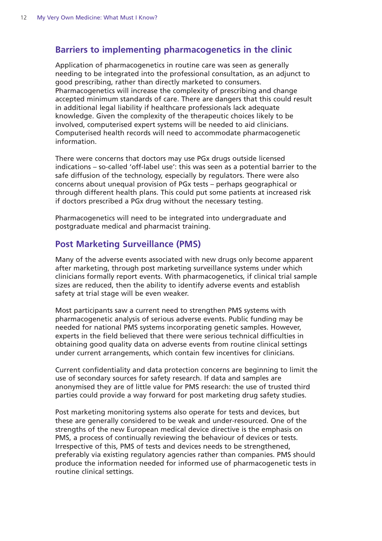#### **Barriers to implementing pharmacogenetics in the clinic**

Application of pharmacogenetics in routine care was seen as generally needing to be integrated into the professional consultation, as an adjunct to good prescribing, rather than directly marketed to consumers. Pharmacogenetics will increase the complexity of prescribing and change accepted minimum standards of care. There are dangers that this could result in additional legal liability if healthcare professionals lack adequate knowledge. Given the complexity of the therapeutic choices likely to be involved, computerised expert systems will be needed to aid clinicians. Computerised health records will need to accommodate pharmacogenetic information.

There were concerns that doctors may use PGx drugs outside licensed indications – so-called 'off-label use': this was seen as a potential barrier to the safe diffusion of the technology, especially by regulators. There were also concerns about unequal provision of PGx tests – perhaps geographical or through different health plans. This could put some patients at increased risk if doctors prescribed a PGx drug without the necessary testing.

Pharmacogenetics will need to be integrated into undergraduate and postgraduate medical and pharmacist training.

#### **Post Marketing Surveillance (PMS)**

Many of the adverse events associated with new drugs only become apparent after marketing, through post marketing surveillance systems under which clinicians formally report events. With pharmacogenetics, if clinical trial sample sizes are reduced, then the ability to identify adverse events and establish safety at trial stage will be even weaker.

Most participants saw a current need to strengthen PMS systems with pharmacogenetic analysis of serious adverse events. Public funding may be needed for national PMS systems incorporating genetic samples. However, experts in the field believed that there were serious technical difficulties in obtaining good quality data on adverse events from routine clinical settings under current arrangements, which contain few incentives for clinicians.

Current confidentiality and data protection concerns are beginning to limit the use of secondary sources for safety research. If data and samples are anonymised they are of little value for PMS research: the use of trusted third parties could provide a way forward for post marketing drug safety studies.

Post marketing monitoring systems also operate for tests and devices, but these are generally considered to be weak and under-resourced. One of the strengths of the new European medical device directive is the emphasis on PMS, a process of continually reviewing the behaviour of devices or tests. Irrespective of this, PMS of tests and devices needs to be strengthened, preferably via existing regulatory agencies rather than companies. PMS should produce the information needed for informed use of pharmacogenetic tests in routine clinical settings.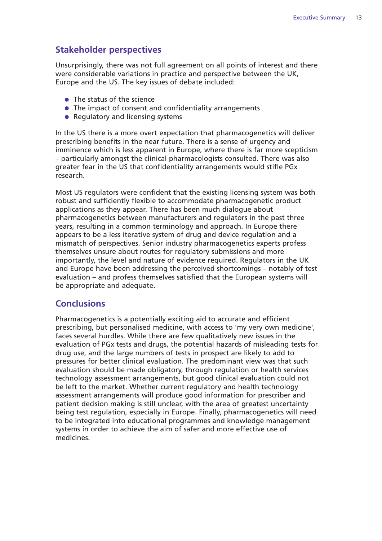#### **Stakeholder perspectives**

Unsurprisingly, there was not full agreement on all points of interest and there were considerable variations in practice and perspective between the UK, Europe and the US. The key issues of debate included:

- The status of the science
- The impact of consent and confidentiality arrangements
- Regulatory and licensing systems

In the US there is a more overt expectation that pharmacogenetics will deliver prescribing benefits in the near future. There is a sense of urgency and imminence which is less apparent in Europe, where there is far more scepticism – particularly amongst the clinical pharmacologists consulted. There was also greater fear in the US that confidentiality arrangements would stifle PGx research.

Most US regulators were confident that the existing licensing system was both robust and sufficiently flexible to accommodate pharmacogenetic product applications as they appear. There has been much dialogue about pharmacogenetics between manufacturers and regulators in the past three years, resulting in a common terminology and approach. In Europe there appears to be a less iterative system of drug and device regulation and a mismatch of perspectives. Senior industry pharmacogenetics experts profess themselves unsure about routes for regulatory submissions and more importantly, the level and nature of evidence required. Regulators in the UK and Europe have been addressing the perceived shortcomings – notably of test evaluation – and profess themselves satisfied that the European systems will be appropriate and adequate.

#### **Conclusions**

Pharmacogenetics is a potentially exciting aid to accurate and efficient prescribing, but personalised medicine, with access to 'my very own medicine', faces several hurdles. While there are few qualitatively new issues in the evaluation of PGx tests and drugs, the potential hazards of misleading tests for drug use, and the large numbers of tests in prospect are likely to add to pressures for better clinical evaluation. The predominant view was that such evaluation should be made obligatory, through regulation or health services technology assessment arrangements, but good clinical evaluation could not be left to the market. Whether current regulatory and health technology assessment arrangements will produce good information for prescriber and patient decision making is still unclear, with the area of greatest uncertainty being test regulation, especially in Europe. Finally, pharmacogenetics will need to be integrated into educational programmes and knowledge management systems in order to achieve the aim of safer and more effective use of medicines.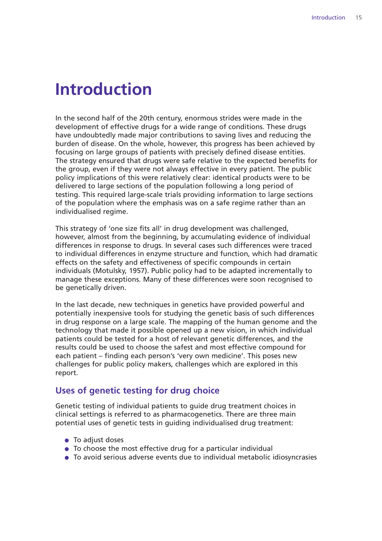### **Introduction**

In the second half of the 20th century, enormous strides were made in the development of effective drugs for a wide range of conditions. These drugs have undoubtedly made major contributions to saving lives and reducing the burden of disease. On the whole, however, this progress has been achieved by focusing on large groups of patients with precisely defined disease entities. The strategy ensured that drugs were safe relative to the expected benefits for the group, even if they were not always effective in every patient. The public policy implications of this were relatively clear: identical products were to be delivered to large sections of the population following a long period of testing. This required large-scale trials providing information to large sections of the population where the emphasis was on a safe regime rather than an individualised regime.

This strategy of 'one size fits all' in drug development was challenged, however, almost from the beginning, by accumulating evidence of individual differences in response to drugs. In several cases such differences were traced to individual differences in enzyme structure and function, which had dramatic effects on the safety and effectiveness of specific compounds in certain individuals (Motulsky, 1957). Public policy had to be adapted incrementally to manage these exceptions. Many of these differences were soon recognised to be genetically driven.

In the last decade, new techniques in genetics have provided powerful and potentially inexpensive tools for studying the genetic basis of such differences in drug response on a large scale. The mapping of the human genome and the technology that made it possible opened up a new vision, in which individual patients could be tested for a host of relevant genetic differences, and the results could be used to choose the safest and most effective compound for each patient – finding each person's 'very own medicine'. This poses new challenges for public policy makers, challenges which are explored in this report.

#### **Uses of genetic testing for drug choice**

Genetic testing of individual patients to guide drug treatment choices in clinical settings is referred to as pharmacogenetics. There are three main potential uses of genetic tests in guiding individualised drug treatment:

- To adjust doses
- To choose the most effective drug for a particular individual
- To avoid serious adverse events due to individual metabolic idiosyncrasies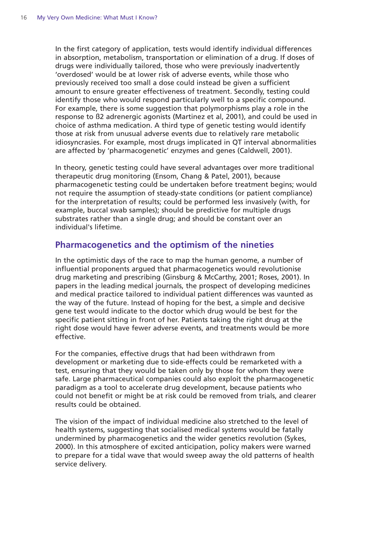In the first category of application, tests would identify individual differences in absorption, metabolism, transportation or elimination of a drug. If doses of drugs were individually tailored, those who were previously inadvertently 'overdosed' would be at lower risk of adverse events, while those who previously received too small a dose could instead be given a sufficient amount to ensure greater effectiveness of treatment. Secondly, testing could identify those who would respond particularly well to a specific compound. For example, there is some suggestion that polymorphisms play a role in the response to ß2 adrenergic agonists (Martinez et al, 2001), and could be used in choice of asthma medication. A third type of genetic testing would identify those at risk from unusual adverse events due to relatively rare metabolic idiosyncrasies. For example, most drugs implicated in QT interval abnormalities are affected by 'pharmacogenetic' enzymes and genes (Caldwell, 2001).

In theory, genetic testing could have several advantages over more traditional therapeutic drug monitoring (Ensom, Chang & Patel, 2001), because pharmacogenetic testing could be undertaken before treatment begins; would not require the assumption of steady-state conditions (or patient compliance) for the interpretation of results; could be performed less invasively (with, for example, buccal swab samples); should be predictive for multiple drugs substrates rather than a single drug; and should be constant over an individual's lifetime.

#### **Pharmacogenetics and the optimism of the nineties**

In the optimistic days of the race to map the human genome, a number of influential proponents argued that pharmacogenetics would revolutionise drug marketing and prescribing (Ginsburg & McCarthy, 2001; Roses, 2001). In papers in the leading medical journals, the prospect of developing medicines and medical practice tailored to individual patient differences was vaunted as the way of the future. Instead of hoping for the best, a simple and decisive gene test would indicate to the doctor which drug would be best for the specific patient sitting in front of her. Patients taking the right drug at the right dose would have fewer adverse events, and treatments would be more effective.

For the companies, effective drugs that had been withdrawn from development or marketing due to side-effects could be remarketed with a test, ensuring that they would be taken only by those for whom they were safe. Large pharmaceutical companies could also exploit the pharmacogenetic paradigm as a tool to accelerate drug development, because patients who could not benefit or might be at risk could be removed from trials, and clearer results could be obtained.

The vision of the impact of individual medicine also stretched to the level of health systems, suggesting that socialised medical systems would be fatally undermined by pharmacogenetics and the wider genetics revolution (Sykes, 2000). In this atmosphere of excited anticipation, policy makers were warned to prepare for a tidal wave that would sweep away the old patterns of health service delivery.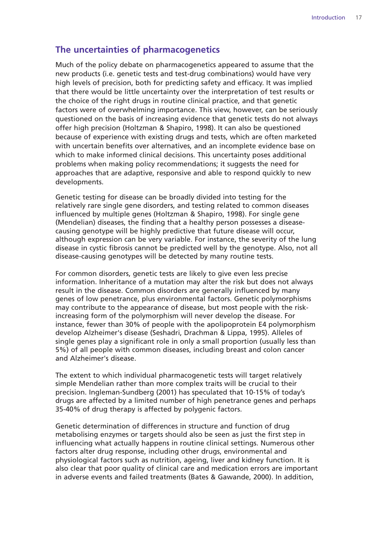#### **The uncertainties of pharmacogenetics**

Much of the policy debate on pharmacogenetics appeared to assume that the new products (i.e. genetic tests and test-drug combinations) would have very high levels of precision, both for predicting safety and efficacy. It was implied that there would be little uncertainty over the interpretation of test results or the choice of the right drugs in routine clinical practice, and that genetic factors were of overwhelming importance. This view, however, can be seriously questioned on the basis of increasing evidence that genetic tests do not always offer high precision (Holtzman & Shapiro, 1998). It can also be questioned because of experience with existing drugs and tests, which are often marketed with uncertain benefits over alternatives, and an incomplete evidence base on which to make informed clinical decisions. This uncertainty poses additional problems when making policy recommendations; it suggests the need for approaches that are adaptive, responsive and able to respond quickly to new developments.

Genetic testing for disease can be broadly divided into testing for the relatively rare single gene disorders, and testing related to common diseases influenced by multiple genes (Holtzman & Shapiro, 1998). For single gene (Mendelian) diseases, the finding that a healthy person possesses a diseasecausing genotype will be highly predictive that future disease will occur, although expression can be very variable. For instance, the severity of the lung disease in cystic fibrosis cannot be predicted well by the genotype. Also, not all disease-causing genotypes will be detected by many routine tests.

For common disorders, genetic tests are likely to give even less precise information. Inheritance of a mutation may alter the risk but does not always result in the disease. Common disorders are generally influenced by many genes of low penetrance, plus environmental factors. Genetic polymorphisms may contribute to the appearance of disease, but most people with the riskincreasing form of the polymorphism will never develop the disease. For instance, fewer than 30% of people with the apolipoprotein E4 polymorphism develop Alzheimer's disease (Seshadri, Drachman & Lippa, 1995). Alleles of single genes play a significant role in only a small proportion (usually less than 5%) of all people with common diseases, including breast and colon cancer and Alzheimer's disease.

The extent to which individual pharmacogenetic tests will target relatively simple Mendelian rather than more complex traits will be crucial to their precision. Ingleman-Sundberg (2001) has speculated that 10-15% of today's drugs are affected by a limited number of high penetrance genes and perhaps 35-40% of drug therapy is affected by polygenic factors.

Genetic determination of differences in structure and function of drug metabolising enzymes or targets should also be seen as just the first step in influencing what actually happens in routine clinical settings. Numerous other factors alter drug response, including other drugs, environmental and physiological factors such as nutrition, ageing, liver and kidney function. It is also clear that poor quality of clinical care and medication errors are important in adverse events and failed treatments (Bates & Gawande, 2000). In addition,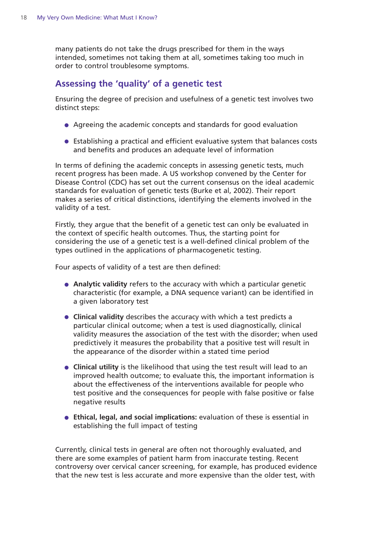many patients do not take the drugs prescribed for them in the ways intended, sometimes not taking them at all, sometimes taking too much in order to control troublesome symptoms.

#### **Assessing the 'quality' of a genetic test**

Ensuring the degree of precision and usefulness of a genetic test involves two distinct steps:

- Agreeing the academic concepts and standards for good evaluation
- Establishing a practical and efficient evaluative system that balances costs and benefits and produces an adequate level of information

In terms of defining the academic concepts in assessing genetic tests, much recent progress has been made. A US workshop convened by the Center for Disease Control (CDC) has set out the current consensus on the ideal academic standards for evaluation of genetic tests (Burke et al, 2002). Their report makes a series of critical distinctions, identifying the elements involved in the validity of a test.

Firstly, they argue that the benefit of a genetic test can only be evaluated in the context of specific health outcomes. Thus, the starting point for considering the use of a genetic test is a well-defined clinical problem of the types outlined in the applications of pharmacogenetic testing.

Four aspects of validity of a test are then defined:

- **Analytic validity** refers to the accuracy with which a particular genetic characteristic (for example, a DNA sequence variant) can be identified in a given laboratory test
- **Clinical validity** describes the accuracy with which a test predicts a particular clinical outcome; when a test is used diagnostically, clinical validity measures the association of the test with the disorder; when used predictively it measures the probability that a positive test will result in the appearance of the disorder within a stated time period
- **Clinical utility** is the likelihood that using the test result will lead to an improved health outcome; to evaluate this, the important information is about the effectiveness of the interventions available for people who test positive and the consequences for people with false positive or false negative results
- **Ethical, legal, and social implications:** evaluation of these is essential in establishing the full impact of testing

Currently, clinical tests in general are often not thoroughly evaluated, and there are some examples of patient harm from inaccurate testing. Recent controversy over cervical cancer screening, for example, has produced evidence that the new test is less accurate and more expensive than the older test, with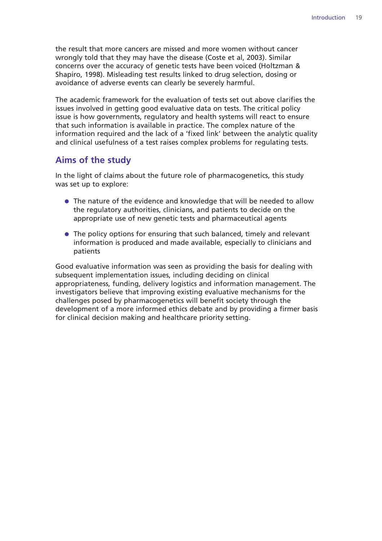the result that more cancers are missed and more women without cancer wrongly told that they may have the disease (Coste et al, 2003). Similar concerns over the accuracy of genetic tests have been voiced (Holtzman & Shapiro, 1998). Misleading test results linked to drug selection, dosing or avoidance of adverse events can clearly be severely harmful.

The academic framework for the evaluation of tests set out above clarifies the issues involved in getting good evaluative data on tests. The critical policy issue is how governments, regulatory and health systems will react to ensure that such information is available in practice. The complex nature of the information required and the lack of a 'fixed link' between the analytic quality and clinical usefulness of a test raises complex problems for regulating tests.

#### **Aims of the study**

In the light of claims about the future role of pharmacogenetics, this study was set up to explore:

- The nature of the evidence and knowledge that will be needed to allow the regulatory authorities, clinicians, and patients to decide on the appropriate use of new genetic tests and pharmaceutical agents
- The policy options for ensuring that such balanced, timely and relevant information is produced and made available, especially to clinicians and patients

Good evaluative information was seen as providing the basis for dealing with subsequent implementation issues, including deciding on clinical appropriateness, funding, delivery logistics and information management. The investigators believe that improving existing evaluative mechanisms for the challenges posed by pharmacogenetics will benefit society through the development of a more informed ethics debate and by providing a firmer basis for clinical decision making and healthcare priority setting.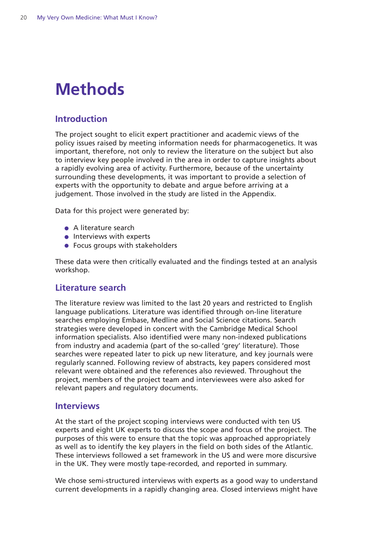# **Methods**

#### **Introduction**

The project sought to elicit expert practitioner and academic views of the policy issues raised by meeting information needs for pharmacogenetics. It was important, therefore, not only to review the literature on the subject but also to interview key people involved in the area in order to capture insights about a rapidly evolving area of activity. Furthermore, because of the uncertainty surrounding these developments, it was important to provide a selection of experts with the opportunity to debate and argue before arriving at a judgement. Those involved in the study are listed in the Appendix.

Data for this project were generated by:

- A literature search
- **•** Interviews with experts
- Focus groups with stakeholders

These data were then critically evaluated and the findings tested at an analysis workshop.

#### **Literature search**

The literature review was limited to the last 20 years and restricted to English language publications. Literature was identified through on-line literature searches employing Embase, Medline and Social Science citations. Search strategies were developed in concert with the Cambridge Medical School information specialists. Also identified were many non-indexed publications from industry and academia (part of the so-called 'grey' literature). Those searches were repeated later to pick up new literature, and key journals were regularly scanned. Following review of abstracts, key papers considered most relevant were obtained and the references also reviewed. Throughout the project, members of the project team and interviewees were also asked for relevant papers and regulatory documents.

#### **Interviews**

At the start of the project scoping interviews were conducted with ten US experts and eight UK experts to discuss the scope and focus of the project. The purposes of this were to ensure that the topic was approached appropriately as well as to identify the key players in the field on both sides of the Atlantic. These interviews followed a set framework in the US and were more discursive in the UK. They were mostly tape-recorded, and reported in summary.

We chose semi-structured interviews with experts as a good way to understand current developments in a rapidly changing area. Closed interviews might have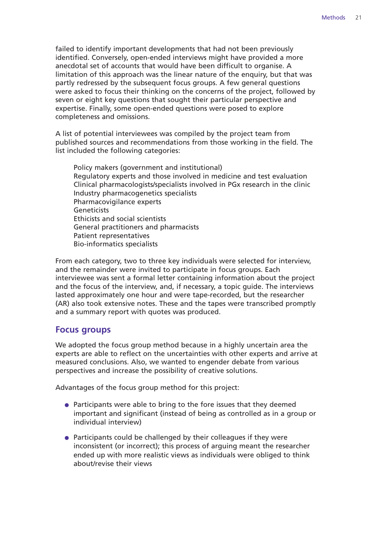failed to identify important developments that had not been previously identified. Conversely, open-ended interviews might have provided a more anecdotal set of accounts that would have been difficult to organise. A limitation of this approach was the linear nature of the enquiry, but that was partly redressed by the subsequent focus groups. A few general questions were asked to focus their thinking on the concerns of the project, followed by seven or eight key questions that sought their particular perspective and expertise. Finally, some open-ended questions were posed to explore completeness and omissions.

A list of potential interviewees was compiled by the project team from published sources and recommendations from those working in the field. The list included the following categories:

Policy makers (government and institutional) Regulatory experts and those involved in medicine and test evaluation Clinical pharmacologists/specialists involved in PGx research in the clinic Industry pharmacogenetics specialists Pharmacovigilance experts Geneticists Ethicists and social scientists General practitioners and pharmacists Patient representatives Bio-informatics specialists

From each category, two to three key individuals were selected for interview, and the remainder were invited to participate in focus groups. Each interviewee was sent a formal letter containing information about the project and the focus of the interview, and, if necessary, a topic guide. The interviews lasted approximately one hour and were tape-recorded, but the researcher (AR) also took extensive notes. These and the tapes were transcribed promptly and a summary report with quotes was produced.

#### **Focus groups**

We adopted the focus group method because in a highly uncertain area the experts are able to reflect on the uncertainties with other experts and arrive at measured conclusions. Also, we wanted to engender debate from various perspectives and increase the possibility of creative solutions.

Advantages of the focus group method for this project:

- Participants were able to bring to the fore issues that they deemed important and significant (instead of being as controlled as in a group or individual interview)
- Participants could be challenged by their colleagues if they were inconsistent (or incorrect); this process of arguing meant the researcher ended up with more realistic views as individuals were obliged to think about/revise their views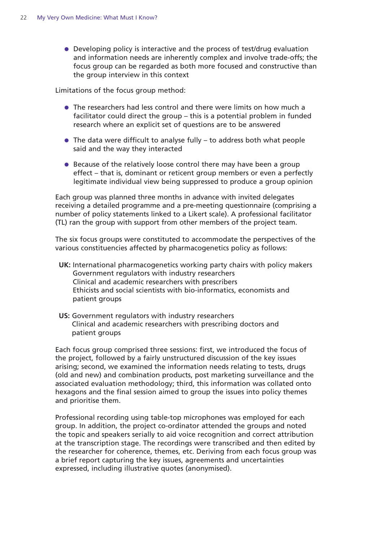● Developing policy is interactive and the process of test/drug evaluation and information needs are inherently complex and involve trade-offs; the focus group can be regarded as both more focused and constructive than the group interview in this context

Limitations of the focus group method:

- The researchers had less control and there were limits on how much a facilitator could direct the group – this is a potential problem in funded research where an explicit set of questions are to be answered
- $\bullet$  The data were difficult to analyse fully to address both what people said and the way they interacted
- Because of the relatively loose control there may have been a group effect – that is, dominant or reticent group members or even a perfectly legitimate individual view being suppressed to produce a group opinion

Each group was planned three months in advance with invited delegates receiving a detailed programme and a pre-meeting questionnaire (comprising a number of policy statements linked to a Likert scale). A professional facilitator (TL) ran the group with support from other members of the project team.

The six focus groups were constituted to accommodate the perspectives of the various constituencies affected by pharmacogenetics policy as follows:

- **UK:** International pharmacogenetics working party chairs with policy makers Government regulators with industry researchers Clinical and academic researchers with prescribers Ethicists and social scientists with bio-informatics, economists and patient groups
- **US:** Government regulators with industry researchers Clinical and academic researchers with prescribing doctors and patient groups

Each focus group comprised three sessions: first, we introduced the focus of the project, followed by a fairly unstructured discussion of the key issues arising; second, we examined the information needs relating to tests, drugs (old and new) and combination products, post marketing surveillance and the associated evaluation methodology; third, this information was collated onto hexagons and the final session aimed to group the issues into policy themes and prioritise them.

Professional recording using table-top microphones was employed for each group. In addition, the project co-ordinator attended the groups and noted the topic and speakers serially to aid voice recognition and correct attribution at the transcription stage. The recordings were transcribed and then edited by the researcher for coherence, themes, etc. Deriving from each focus group was a brief report capturing the key issues, agreements and uncertainties expressed, including illustrative quotes (anonymised).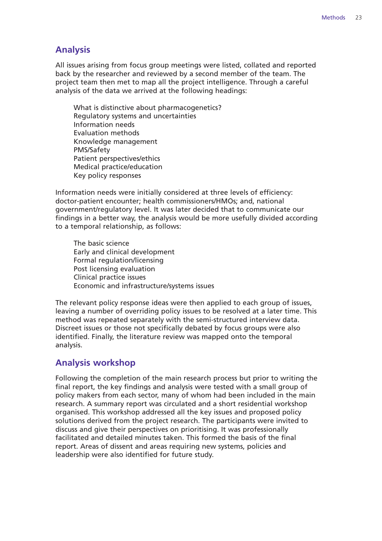#### **Analysis**

All issues arising from focus group meetings were listed, collated and reported back by the researcher and reviewed by a second member of the team. The project team then met to map all the project intelligence. Through a careful analysis of the data we arrived at the following headings:

What is distinctive about pharmacogenetics? Regulatory systems and uncertainties Information needs Evaluation methods Knowledge management PMS/Safety Patient perspectives/ethics Medical practice/education Key policy responses

Information needs were initially considered at three levels of efficiency: doctor-patient encounter; health commissioners/HMOs; and, national government/regulatory level. It was later decided that to communicate our findings in a better way, the analysis would be more usefully divided according to a temporal relationship, as follows:

The basic science Early and clinical development Formal regulation/licensing Post licensing evaluation Clinical practice issues Economic and infrastructure/systems issues

The relevant policy response ideas were then applied to each group of issues, leaving a number of overriding policy issues to be resolved at a later time. This method was repeated separately with the semi-structured interview data. Discreet issues or those not specifically debated by focus groups were also identified. Finally, the literature review was mapped onto the temporal analysis.

#### **Analysis workshop**

Following the completion of the main research process but prior to writing the final report, the key findings and analysis were tested with a small group of policy makers from each sector, many of whom had been included in the main research. A summary report was circulated and a short residential workshop organised. This workshop addressed all the key issues and proposed policy solutions derived from the project research. The participants were invited to discuss and give their perspectives on prioritising. It was professionally facilitated and detailed minutes taken. This formed the basis of the final report. Areas of dissent and areas requiring new systems, policies and leadership were also identified for future study.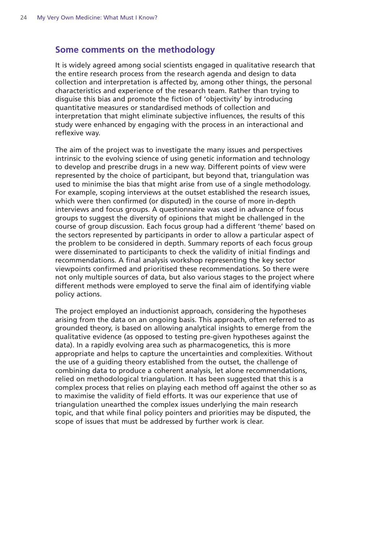#### **Some comments on the methodology**

It is widely agreed among social scientists engaged in qualitative research that the entire research process from the research agenda and design to data collection and interpretation is affected by, among other things, the personal characteristics and experience of the research team. Rather than trying to disguise this bias and promote the fiction of 'objectivity' by introducing quantitative measures or standardised methods of collection and interpretation that might eliminate subjective influences, the results of this study were enhanced by engaging with the process in an interactional and reflexive way.

The aim of the project was to investigate the many issues and perspectives intrinsic to the evolving science of using genetic information and technology to develop and prescribe drugs in a new way. Different points of view were represented by the choice of participant, but beyond that, triangulation was used to minimise the bias that might arise from use of a single methodology. For example, scoping interviews at the outset established the research issues, which were then confirmed (or disputed) in the course of more in-depth interviews and focus groups. A questionnaire was used in advance of focus groups to suggest the diversity of opinions that might be challenged in the course of group discussion. Each focus group had a different 'theme' based on the sectors represented by participants in order to allow a particular aspect of the problem to be considered in depth. Summary reports of each focus group were disseminated to participants to check the validity of initial findings and recommendations. A final analysis workshop representing the key sector viewpoints confirmed and prioritised these recommendations. So there were not only multiple sources of data, but also various stages to the project where different methods were employed to serve the final aim of identifying viable policy actions.

The project employed an inductionist approach, considering the hypotheses arising from the data on an ongoing basis. This approach, often referred to as grounded theory, is based on allowing analytical insights to emerge from the qualitative evidence (as opposed to testing pre-given hypotheses against the data). In a rapidly evolving area such as pharmacogenetics, this is more appropriate and helps to capture the uncertainties and complexities. Without the use of a guiding theory established from the outset, the challenge of combining data to produce a coherent analysis, let alone recommendations, relied on methodological triangulation. It has been suggested that this is a complex process that relies on playing each method off against the other so as to maximise the validity of field efforts. It was our experience that use of triangulation unearthed the complex issues underlying the main research topic, and that while final policy pointers and priorities may be disputed, the scope of issues that must be addressed by further work is clear.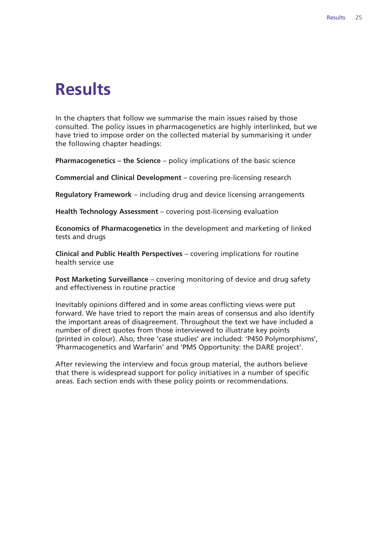### **Results**

In the chapters that follow we summarise the main issues raised by those consulted. The policy issues in pharmacogenetics are highly interlinked, but we have tried to impose order on the collected material by summarising it under the following chapter headings:

**Pharmacogenetics – the Science** – policy implications of the basic science

**Commercial and Clinical Development** – covering pre-licensing research

**Regulatory Framework** – including drug and device licensing arrangements

**Health Technology Assessment** – covering post-licensing evaluation

**Economics of Pharmacogenetics** in the development and marketing of linked tests and drugs

**Clinical and Public Health Perspectives** – covering implications for routine health service use

**Post Marketing Surveillance** – covering monitoring of device and drug safety and effectiveness in routine practice

Inevitably opinions differed and in some areas conflicting views were put forward. We have tried to report the main areas of consensus and also identify the important areas of disagreement. Throughout the text we have included a number of direct quotes from those interviewed to illustrate key points (printed in colour). Also, three 'case studies' are included: 'P450 Polymorphisms', 'Pharmacogenetics and Warfarin' and 'PMS Opportunity: the DARE project'.

After reviewing the interview and focus group material, the authors believe that there is widespread support for policy initiatives in a number of specific areas. Each section ends with these policy points or recommendations.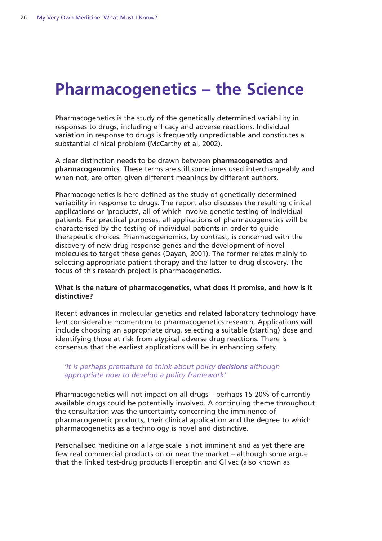# **Pharmacogenetics – the Science**

Pharmacogenetics is the study of the genetically determined variability in responses to drugs, including efficacy and adverse reactions. Individual variation in response to drugs is frequently unpredictable and constitutes a substantial clinical problem (McCarthy et al, 2002).

A clear distinction needs to be drawn between **pharmacogenetics** and **pharmacogenomics**. These terms are still sometimes used interchangeably and when not, are often given different meanings by different authors.

Pharmacogenetics is here defined as the study of genetically-determined variability in response to drugs. The report also discusses the resulting clinical applications or 'products', all of which involve genetic testing of individual patients. For practical purposes, all applications of pharmacogenetics will be characterised by the testing of individual patients in order to guide therapeutic choices. Pharmacogenomics, by contrast, is concerned with the discovery of new drug response genes and the development of novel molecules to target these genes (Dayan, 2001). The former relates mainly to selecting appropriate patient therapy and the latter to drug discovery. The focus of this research project is pharmacogenetics.

#### **What is the nature of pharmacogenetics, what does it promise, and how is it distinctive?**

Recent advances in molecular genetics and related laboratory technology have lent considerable momentum to pharmacogenetics research. Applications will include choosing an appropriate drug, selecting a suitable (starting) dose and identifying those at risk from atypical adverse drug reactions. There is consensus that the earliest applications will be in enhancing safety.

#### *'It is perhaps premature to think about policy decisions although appropriate now to develop a policy framework'*

Pharmacogenetics will not impact on all drugs – perhaps 15-20% of currently available drugs could be potentially involved. A continuing theme throughout the consultation was the uncertainty concerning the imminence of pharmacogenetic products, their clinical application and the degree to which pharmacogenetics as a technology is novel and distinctive.

Personalised medicine on a large scale is not imminent and as yet there are few real commercial products on or near the market – although some argue that the linked test-drug products Herceptin and Glivec (also known as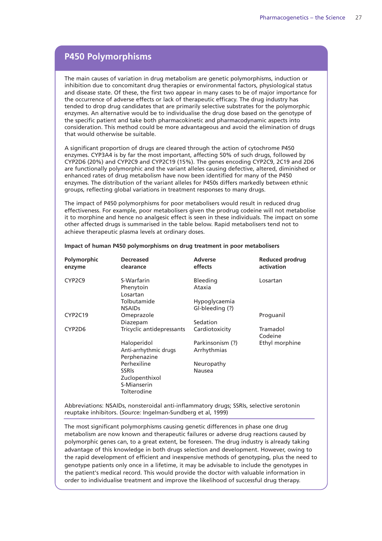#### **P450 Polymorphisms**

The main causes of variation in drug metabolism are genetic polymorphisms, induction or inhibition due to concomitant drug therapies or environmental factors, physiological status and disease state. Of these, the first two appear in many cases to be of major importance for the occurrence of adverse effects or lack of therapeutic efficacy. The drug industry has tended to drop drug candidates that are primarily selective substrates for the polymorphic enzymes. An alternative would be to individualise the drug dose based on the genotype of the specific patient and take both pharmacokinetic and pharmacodynamic aspects into consideration. This method could be more advantageous and avoid the elimination of drugs that would otherwise be suitable.

A significant proportion of drugs are cleared through the action of cytochrome P450 enzymes. CYP3A4 is by far the most important, affecting 50% of such drugs, followed by CYP2D6 (20%) and CYP2C9 and CYP2C19 (15%). The genes encoding CYP2C9, 2C19 and 2D6 are functionally polymorphic and the variant alleles causing defective, altered, diminished or enhanced rates of drug metabolism have now been identified for many of the P450 enzymes. The distribution of the variant alleles for P450s differs markedly between ethnic groups, reflecting global variations in treatment responses to many drugs.

The impact of P450 polymorphisms for poor metabolisers would result in reduced drug effectiveness. For example, poor metabolisers given the prodrug codeine will not metabolise it to morphine and hence no analgesic effect is seen in these individuals. The impact on some other affected drugs is summarised in the table below. Rapid metabolisers tend not to achieve therapeutic plasma levels at ordinary doses.

| <b>Polymorphic</b><br>enzyme    | <b>Decreased</b><br>clearance                                | <b>Adverse</b><br>effects       | Reduced prodrug<br>activation |
|---------------------------------|--------------------------------------------------------------|---------------------------------|-------------------------------|
| CYP <sub>2</sub> C <sub>9</sub> | S-Warfarin<br>Phenytoin<br>Losartan                          | Bleeding<br>Ataxia              | Losartan                      |
|                                 | Tolbutamide                                                  | Hypoglycaemia                   |                               |
|                                 | <b>NSAIDs</b>                                                | Gl-bleeding (?)                 |                               |
| CYP2C19                         | Omeprazole                                                   |                                 | Proguanil                     |
|                                 | Diazepam                                                     | Sedation                        |                               |
| CYP2D6                          | Tricyclic antidepressants                                    | Cardiotoxicity                  | Tramadol<br>Codeine           |
|                                 | Haloperidol<br>Anti-arrhythmic drugs                         | Parkinsonism (?)<br>Arrhythmias | Ethyl morphine                |
|                                 | Perphenazine<br>Perhexiline                                  | Neuropathy                      |                               |
|                                 | <b>SSRIS</b><br>Zuclopenthixol<br>S-Mianserin<br>Tolterodine | Nausea                          |                               |

#### **Impact of human P450 polymorphisms on drug treatment in poor metabolisers**

Abbreviations: NSAIDs, nonsteroidal anti-inflammatory drugs; SSRIs, selective serotonin reuptake inhibitors. (*Source:* Ingelman-Sundberg et al, 1999)

The most significant polymorphisms causing genetic differences in phase one drug metabolism are now known and therapeutic failures or adverse drug reactions caused by polymorphic genes can, to a great extent, be foreseen. The drug industry is already taking advantage of this knowledge in both drugs selection and development. However, owing to the rapid development of efficient and inexpensive methods of genotyping, plus the need to genotype patients only once in a lifetime, it may be advisable to include the genotypes in the patient's medical record. This would provide the doctor with valuable information in order to individualise treatment and improve the likelihood of successful drug therapy.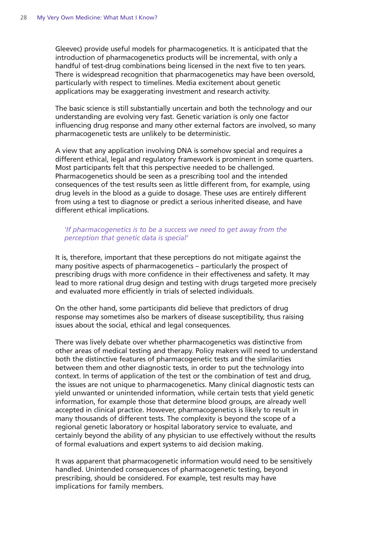Gleevec) provide useful models for pharmacogenetics. It is anticipated that the introduction of pharmacogenetics products will be incremental, with only a handful of test-drug combinations being licensed in the next five to ten years. There is widespread recognition that pharmacogenetics may have been oversold, particularly with respect to timelines. Media excitement about genetic applications may be exaggerating investment and research activity.

The basic science is still substantially uncertain and both the technology and our understanding are evolving very fast. Genetic variation is only one factor influencing drug response and many other external factors are involved, so many pharmacogenetic tests are unlikely to be deterministic.

A view that any application involving DNA is somehow special and requires a different ethical, legal and regulatory framework is prominent in some quarters. Most participants felt that this perspective needed to be challenged. Pharmacogenetics should be seen as a prescribing tool and the intended consequences of the test results seen as little different from, for example, using drug levels in the blood as a guide to dosage. These uses are entirely different from using a test to diagnose or predict a serious inherited disease, and have different ethical implications.

#### *'If pharmacogenetics is to be a success we need to get away from the perception that genetic data is special'*

It is, therefore, important that these perceptions do not mitigate against the many positive aspects of pharmacogenetics – particularly the prospect of prescribing drugs with more confidence in their effectiveness and safety. It may lead to more rational drug design and testing with drugs targeted more precisely and evaluated more efficiently in trials of selected individuals.

On the other hand, some participants did believe that predictors of drug response may sometimes also be markers of disease susceptibility, thus raising issues about the social, ethical and legal consequences.

There was lively debate over whether pharmacogenetics was distinctive from other areas of medical testing and therapy. Policy makers will need to understand both the distinctive features of pharmacogenetic tests and the similarities between them and other diagnostic tests, in order to put the technology into context. In terms of application of the test or the combination of test and drug, the issues are not unique to pharmacogenetics. Many clinical diagnostic tests can yield unwanted or unintended information, while certain tests that yield genetic information, for example those that determine blood groups, are already well accepted in clinical practice. However, pharmacogenetics is likely to result in many thousands of different tests. The complexity is beyond the scope of a regional genetic laboratory or hospital laboratory service to evaluate, and certainly beyond the ability of any physician to use effectively without the results of formal evaluations and expert systems to aid decision making.

It was apparent that pharmacogenetic information would need to be sensitively handled. Unintended consequences of pharmacogenetic testing, beyond prescribing, should be considered. For example, test results may have implications for family members.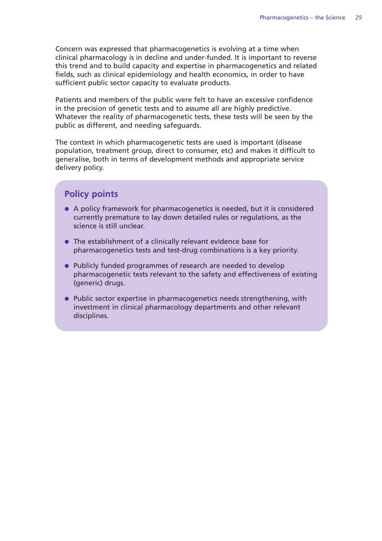Concern was expressed that pharmacogenetics is evolving at a time when clinical pharmacology is in decline and under-funded. It is important to reverse this trend and to build capacity and expertise in pharmacogenetics and related fields, such as clinical epidemiology and health economics, in order to have sufficient public sector capacity to evaluate products.

Patients and members of the public were felt to have an excessive confidence in the precision of genetic tests and to assume all are highly predictive. Whatever the reality of pharmacogenetic tests, these tests will be seen by the public as different, and needing safeguards.

The context in which pharmacogenetic tests are used is important (disease population, treatment group, direct to consumer, etc) and makes it difficult to generalise, both in terms of development methods and appropriate service delivery policy.

#### **Policy points**

- A policy framework for pharmacogenetics is needed, but it is considered currently premature to lay down detailed rules or regulations, as the science is still unclear.
- The establishment of a clinically relevant evidence base for pharmacogenetics tests and test-drug combinations is a key priority.
- Publicly funded programmes of research are needed to develop pharmacogenetic tests relevant to the safety and effectiveness of existing (generic) drugs.
- Public sector expertise in pharmacogenetics needs strengthening, with investment in clinical pharmacology departments and other relevant disciplines.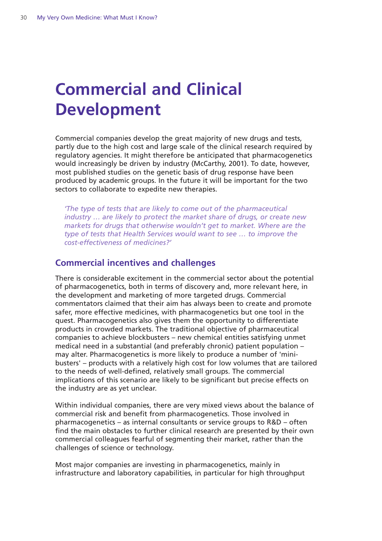# **Commercial and Clinical Development**

Commercial companies develop the great majority of new drugs and tests, partly due to the high cost and large scale of the clinical research required by regulatory agencies. It might therefore be anticipated that pharmacogenetics would increasingly be driven by industry (McCarthy, 2001). To date, however, most published studies on the genetic basis of drug response have been produced by academic groups. In the future it will be important for the two sectors to collaborate to expedite new therapies.

*'The type of tests that are likely to come out of the pharmaceutical industry … are likely to protect the market share of drugs, or create new markets for drugs that otherwise wouldn't get to market. Where are the type of tests that Health Services would want to see … to improve the cost-effectiveness of medicines?'* 

#### **Commercial incentives and challenges**

There is considerable excitement in the commercial sector about the potential of pharmacogenetics, both in terms of discovery and, more relevant here, in the development and marketing of more targeted drugs. Commercial commentators claimed that their aim has always been to create and promote safer, more effective medicines, with pharmacogenetics but one tool in the quest. Pharmacogenetics also gives them the opportunity to differentiate products in crowded markets. The traditional objective of pharmaceutical companies to achieve blockbusters – new chemical entities satisfying unmet medical need in a substantial (and preferably chronic) patient population – may alter. Pharmacogenetics is more likely to produce a number of 'minibusters' – products with a relatively high cost for low volumes that are tailored to the needs of well-defined, relatively small groups. The commercial implications of this scenario are likely to be significant but precise effects on the industry are as yet unclear.

Within individual companies, there are very mixed views about the balance of commercial risk and benefit from pharmacogenetics. Those involved in pharmacogenetics – as internal consultants or service groups to R&D – often find the main obstacles to further clinical research are presented by their own commercial colleagues fearful of segmenting their market, rather than the challenges of science or technology.

Most major companies are investing in pharmacogenetics, mainly in infrastructure and laboratory capabilities, in particular for high throughput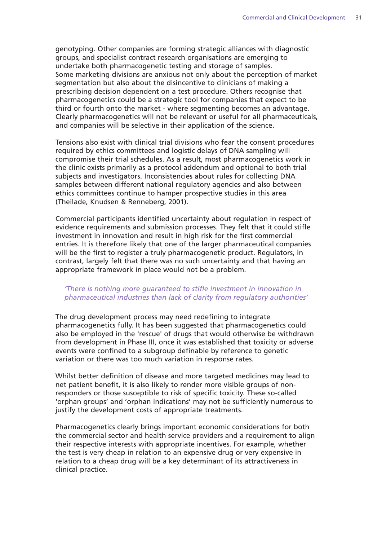genotyping. Other companies are forming strategic alliances with diagnostic groups, and specialist contract research organisations are emerging to undertake both pharmacogenetic testing and storage of samples. Some marketing divisions are anxious not only about the perception of market segmentation but also about the disincentive to clinicians of making a prescribing decision dependent on a test procedure. Others recognise that pharmacogenetics could be a strategic tool for companies that expect to be third or fourth onto the market - where segmenting becomes an advantage. Clearly pharmacogenetics will not be relevant or useful for all pharmaceuticals, and companies will be selective in their application of the science.

Tensions also exist with clinical trial divisions who fear the consent procedures required by ethics committees and logistic delays of DNA sampling will compromise their trial schedules. As a result, most pharmacogenetics work in the clinic exists primarily as a protocol addendum and optional to both trial subjects and investigators. Inconsistencies about rules for collecting DNA samples between different national regulatory agencies and also between ethics committees continue to hamper prospective studies in this area (Theilade, Knudsen & Renneberg, 2001).

Commercial participants identified uncertainty about regulation in respect of evidence requirements and submission processes. They felt that it could stifle investment in innovation and result in high risk for the first commercial entries. It is therefore likely that one of the larger pharmaceutical companies will be the first to register a truly pharmacogenetic product. Regulators, in contrast, largely felt that there was no such uncertainty and that having an appropriate framework in place would not be a problem.

#### *'There is nothing more guaranteed to stifle investment in innovation in pharmaceutical industries than lack of clarity from regulatory authorities'*

The drug development process may need redefining to integrate pharmacogenetics fully. It has been suggested that pharmacogenetics could also be employed in the 'rescue' of drugs that would otherwise be withdrawn from development in Phase III, once it was established that toxicity or adverse events were confined to a subgroup definable by reference to genetic variation or there was too much variation in response rates.

Whilst better definition of disease and more targeted medicines may lead to net patient benefit, it is also likely to render more visible groups of nonresponders or those susceptible to risk of specific toxicity. These so-called 'orphan groups' and 'orphan indications' may not be sufficiently numerous to justify the development costs of appropriate treatments.

Pharmacogenetics clearly brings important economic considerations for both the commercial sector and health service providers and a requirement to align their respective interests with appropriate incentives. For example, whether the test is very cheap in relation to an expensive drug or very expensive in relation to a cheap drug will be a key determinant of its attractiveness in clinical practice.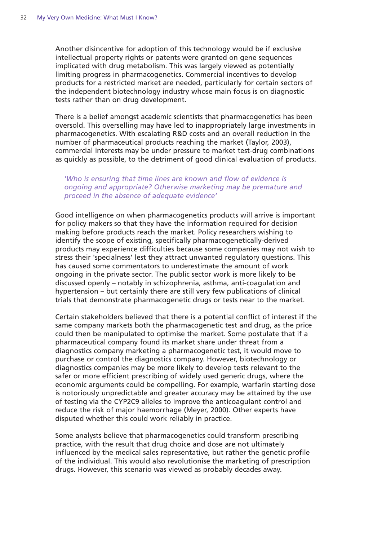Another disincentive for adoption of this technology would be if exclusive intellectual property rights or patents were granted on gene sequences implicated with drug metabolism. This was largely viewed as potentially limiting progress in pharmacogenetics. Commercial incentives to develop products for a restricted market are needed, particularly for certain sectors of the independent biotechnology industry whose main focus is on diagnostic tests rather than on drug development.

There is a belief amongst academic scientists that pharmacogenetics has been oversold. This overselling may have led to inappropriately large investments in pharmacogenetics. With escalating R&D costs and an overall reduction in the number of pharmaceutical products reaching the market (Taylor, 2003), commercial interests may be under pressure to market test-drug combinations as quickly as possible, to the detriment of good clinical evaluation of products.

#### *'Who is ensuring that time lines are known and flow of evidence is ongoing and appropriate? Otherwise marketing may be premature and proceed in the absence of adequate evidence'*

Good intelligence on when pharmacogenetics products will arrive is important for policy makers so that they have the information required for decision making before products reach the market. Policy researchers wishing to identify the scope of existing, specifically pharmacogenetically-derived products may experience difficulties because some companies may not wish to stress their 'specialness' lest they attract unwanted regulatory questions. This has caused some commentators to underestimate the amount of work ongoing in the private sector. The public sector work is more likely to be discussed openly – notably in schizophrenia, asthma, anti-coagulation and hypertension – but certainly there are still very few publications of clinical trials that demonstrate pharmacogenetic drugs or tests near to the market.

Certain stakeholders believed that there is a potential conflict of interest if the same company markets both the pharmacogenetic test and drug, as the price could then be manipulated to optimise the market. Some postulate that if a pharmaceutical company found its market share under threat from a diagnostics company marketing a pharmacogenetic test, it would move to purchase or control the diagnostics company. However, biotechnology or diagnostics companies may be more likely to develop tests relevant to the safer or more efficient prescribing of widely used generic drugs, where the economic arguments could be compelling. For example, warfarin starting dose is notoriously unpredictable and greater accuracy may be attained by the use of testing via the CYP2C9 alleles to improve the anticoagulant control and reduce the risk of major haemorrhage (Meyer, 2000). Other experts have disputed whether this could work reliably in practice.

Some analysts believe that pharmacogenetics could transform prescribing practice, with the result that drug choice and dose are not ultimately influenced by the medical sales representative, but rather the genetic profile of the individual. This would also revolutionise the marketing of prescription drugs. However, this scenario was viewed as probably decades away.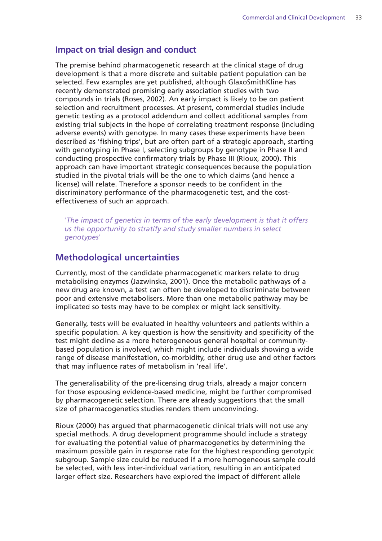#### **Impact on trial design and conduct**

The premise behind pharmacogenetic research at the clinical stage of drug development is that a more discrete and suitable patient population can be selected. Few examples are yet published, although GlaxoSmithKline has recently demonstrated promising early association studies with two compounds in trials (Roses, 2002). An early impact is likely to be on patient selection and recruitment processes. At present, commercial studies include genetic testing as a protocol addendum and collect additional samples from existing trial subjects in the hope of correlating treatment response (including adverse events) with genotype. In many cases these experiments have been described as 'fishing trips', but are often part of a strategic approach, starting with genotyping in Phase I, selecting subgroups by genotype in Phase II and conducting prospective confirmatory trials by Phase III (Rioux, 2000). This approach can have important strategic consequences because the population studied in the pivotal trials will be the one to which claims (and hence a license) will relate. Therefore a sponsor needs to be confident in the discriminatory performance of the pharmacogenetic test, and the costeffectiveness of such an approach.

*'The impact of genetics in terms of the early development is that it offers us the opportunity to stratify and study smaller numbers in select genotypes'*

#### **Methodological uncertainties**

Currently, most of the candidate pharmacogenetic markers relate to drug metabolising enzymes (Jazwinska, 2001). Once the metabolic pathways of a new drug are known, a test can often be developed to discriminate between poor and extensive metabolisers. More than one metabolic pathway may be implicated so tests may have to be complex or might lack sensitivity.

Generally, tests will be evaluated in healthy volunteers and patients within a specific population. A key question is how the sensitivity and specificity of the test might decline as a more heterogeneous general hospital or communitybased population is involved, which might include individuals showing a wide range of disease manifestation, co-morbidity, other drug use and other factors that may influence rates of metabolism in 'real life'.

The generalisability of the pre-licensing drug trials, already a major concern for those espousing evidence-based medicine, might be further compromised by pharmacogenetic selection. There are already suggestions that the small size of pharmacogenetics studies renders them unconvincing.

Rioux (2000) has argued that pharmacogenetic clinical trials will not use any special methods. A drug development programme should include a strategy for evaluating the potential value of pharmacogenetics by determining the maximum possible gain in response rate for the highest responding genotypic subgroup. Sample size could be reduced if a more homogeneous sample could be selected, with less inter-individual variation, resulting in an anticipated larger effect size. Researchers have explored the impact of different allele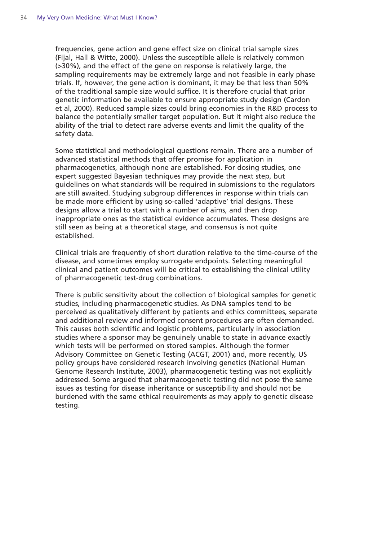frequencies, gene action and gene effect size on clinical trial sample sizes (Fijal, Hall & Witte, 2000). Unless the susceptible allele is relatively common (>30%), and the effect of the gene on response is relatively large, the sampling requirements may be extremely large and not feasible in early phase trials. If, however, the gene action is dominant, it may be that less than 50% of the traditional sample size would suffice. It is therefore crucial that prior genetic information be available to ensure appropriate study design (Cardon et al, 2000). Reduced sample sizes could bring economies in the R&D process to balance the potentially smaller target population. But it might also reduce the ability of the trial to detect rare adverse events and limit the quality of the safety data.

Some statistical and methodological questions remain. There are a number of advanced statistical methods that offer promise for application in pharmacogenetics, although none are established. For dosing studies, one expert suggested Bayesian techniques may provide the next step, but guidelines on what standards will be required in submissions to the regulators are still awaited. Studying subgroup differences in response within trials can be made more efficient by using so-called 'adaptive' trial designs. These designs allow a trial to start with a number of aims, and then drop inappropriate ones as the statistical evidence accumulates. These designs are still seen as being at a theoretical stage, and consensus is not quite established.

Clinical trials are frequently of short duration relative to the time-course of the disease, and sometimes employ surrogate endpoints. Selecting meaningful clinical and patient outcomes will be critical to establishing the clinical utility of pharmacogenetic test-drug combinations.

There is public sensitivity about the collection of biological samples for genetic studies, including pharmacogenetic studies. As DNA samples tend to be perceived as qualitatively different by patients and ethics committees, separate and additional review and informed consent procedures are often demanded. This causes both scientific and logistic problems, particularly in association studies where a sponsor may be genuinely unable to state in advance exactly which tests will be performed on stored samples. Although the former Advisory Committee on Genetic Testing (ACGT, 2001) and, more recently, US policy groups have considered research involving genetics (National Human Genome Research Institute, 2003), pharmacogenetic testing was not explicitly addressed. Some argued that pharmacogenetic testing did not pose the same issues as testing for disease inheritance or susceptibility and should not be burdened with the same ethical requirements as may apply to genetic disease testing.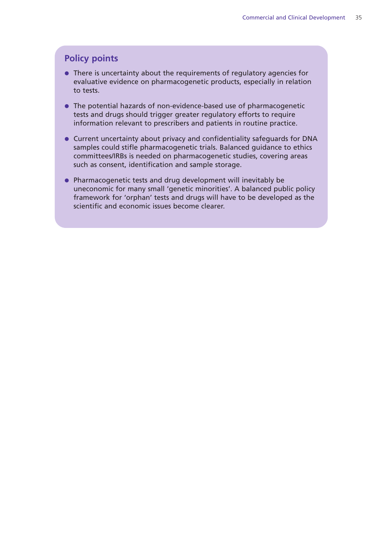#### **Policy points**

- There is uncertainty about the requirements of regulatory agencies for evaluative evidence on pharmacogenetic products, especially in relation to tests.
- The potential hazards of non-evidence-based use of pharmacogenetic tests and drugs should trigger greater regulatory efforts to require information relevant to prescribers and patients in routine practice.
- Current uncertainty about privacy and confidentiality safeguards for DNA samples could stifle pharmacogenetic trials. Balanced guidance to ethics committees/IRBs is needed on pharmacogenetic studies, covering areas such as consent, identification and sample storage.
- Pharmacogenetic tests and drug development will inevitably be uneconomic for many small 'genetic minorities'. A balanced public policy framework for 'orphan' tests and drugs will have to be developed as the scientific and economic issues become clearer.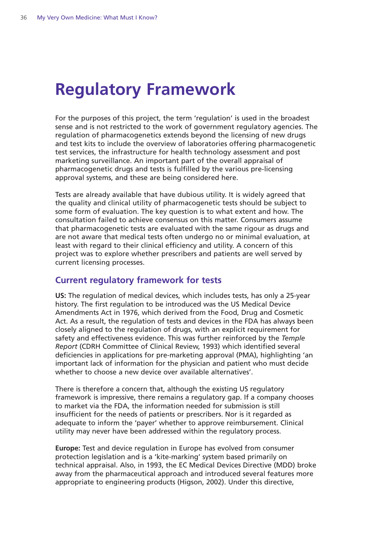# **Regulatory Framework**

For the purposes of this project, the term 'regulation' is used in the broadest sense and is not restricted to the work of government regulatory agencies. The regulation of pharmacogenetics extends beyond the licensing of new drugs and test kits to include the overview of laboratories offering pharmacogenetic test services, the infrastructure for health technology assessment and post marketing surveillance. An important part of the overall appraisal of pharmacogenetic drugs and tests is fulfilled by the various pre-licensing approval systems, and these are being considered here.

Tests are already available that have dubious utility. It is widely agreed that the quality and clinical utility of pharmacogenetic tests should be subject to some form of evaluation. The key question is to what extent and how. The consultation failed to achieve consensus on this matter. Consumers assume that pharmacogenetic tests are evaluated with the same rigour as drugs and are not aware that medical tests often undergo no or minimal evaluation, at least with regard to their clinical efficiency and utility. A concern of this project was to explore whether prescribers and patients are well served by current licensing processes.

#### **Current regulatory framework for tests**

**US:** The regulation of medical devices, which includes tests, has only a 25-year history. The first regulation to be introduced was the US Medical Device Amendments Act in 1976, which derived from the Food, Drug and Cosmetic Act. As a result, the regulation of tests and devices in the FDA has always been closely aligned to the regulation of drugs, with an explicit requirement for safety and effectiveness evidence. This was further reinforced by the *Temple Report* (CDRH Committee of Clinical Review, 1993) which identified several deficiencies in applications for pre-marketing approval (PMA), highlighting 'an important lack of information for the physician and patient who must decide whether to choose a new device over available alternatives'.

There is therefore a concern that, although the existing US regulatory framework is impressive, there remains a regulatory gap. If a company chooses to market via the FDA, the information needed for submission is still insufficient for the needs of patients or prescribers. Nor is it regarded as adequate to inform the 'payer' whether to approve reimbursement. Clinical utility may never have been addressed within the regulatory process.

**Europe:** Test and device regulation in Europe has evolved from consumer protection legislation and is a 'kite-marking' system based primarily on technical appraisal. Also, in 1993, the EC Medical Devices Directive (MDD) broke away from the pharmaceutical approach and introduced several features more appropriate to engineering products (Higson, 2002). Under this directive,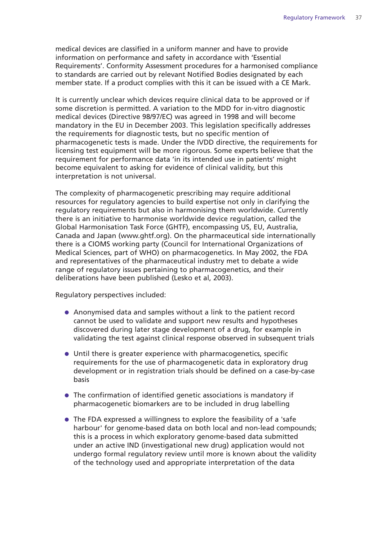medical devices are classified in a uniform manner and have to provide information on performance and safety in accordance with 'Essential Requirements'. Conformity Assessment procedures for a harmonised compliance to standards are carried out by relevant Notified Bodies designated by each member state. If a product complies with this it can be issued with a CE Mark.

It is currently unclear which devices require clinical data to be approved or if some discretion is permitted. A variation to the MDD for in-vitro diagnostic medical devices (Directive 98/97/EC) was agreed in 1998 and will become mandatory in the EU in December 2003. This legislation specifically addresses the requirements for diagnostic tests, but no specific mention of pharmacogenetic tests is made. Under the IVDD directive, the requirements for licensing test equipment will be more rigorous. Some experts believe that the requirement for performance data 'in its intended use in patients' might become equivalent to asking for evidence of clinical validity, but this interpretation is not universal.

The complexity of pharmacogenetic prescribing may require additional resources for regulatory agencies to build expertise not only in clarifying the regulatory requirements but also in harmonising them worldwide. Currently there is an initiative to harmonise worldwide device regulation, called the Global Harmonisation Task Force (GHTF), encompassing US, EU, Australia, Canada and Japan (www.ghtf.org). On the pharmaceutical side internationally there is a CIOMS working party (Council for International Organizations of Medical Sciences, part of WHO) on pharmacogenetics. In May 2002, the FDA and representatives of the pharmaceutical industry met to debate a wide range of regulatory issues pertaining to pharmacogenetics, and their deliberations have been published (Lesko et al, 2003).

Regulatory perspectives included:

- Anonymised data and samples without a link to the patient record cannot be used to validate and support new results and hypotheses discovered during later stage development of a drug, for example in validating the test against clinical response observed in subsequent trials
- Until there is greater experience with pharmacogenetics, specific requirements for the use of pharmacogenetic data in exploratory drug development or in registration trials should be defined on a case-by-case basis
- The confirmation of identified genetic associations is mandatory if pharmacogenetic biomarkers are to be included in drug labelling
- The FDA expressed a willingness to explore the feasibility of a 'safe harbour' for genome-based data on both local and non-lead compounds; this is a process in which exploratory genome-based data submitted under an active IND (investigational new drug) application would not undergo formal regulatory review until more is known about the validity of the technology used and appropriate interpretation of the data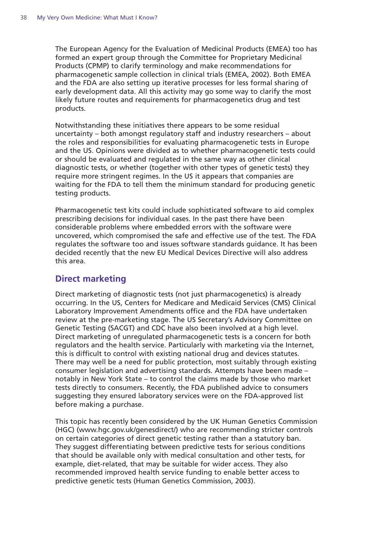The European Agency for the Evaluation of Medicinal Products (EMEA) too has formed an expert group through the Committee for Proprietary Medicinal Products (CPMP) to clarify terminology and make recommendations for pharmacogenetic sample collection in clinical trials (EMEA, 2002). Both EMEA and the FDA are also setting up iterative processes for less formal sharing of early development data. All this activity may go some way to clarify the most likely future routes and requirements for pharmacogenetics drug and test products.

Notwithstanding these initiatives there appears to be some residual uncertainty – both amongst regulatory staff and industry researchers – about the roles and responsibilities for evaluating pharmacogenetic tests in Europe and the US. Opinions were divided as to whether pharmacogenetic tests could or should be evaluated and regulated in the same way as other clinical diagnostic tests, or whether (together with other types of genetic tests) they require more stringent regimes. In the US it appears that companies are waiting for the FDA to tell them the minimum standard for producing genetic testing products.

Pharmacogenetic test kits could include sophisticated software to aid complex prescribing decisions for individual cases. In the past there have been considerable problems where embedded errors with the software were uncovered, which compromised the safe and effective use of the test. The FDA regulates the software too and issues software standards guidance. It has been decided recently that the new EU Medical Devices Directive will also address this area.

#### **Direct marketing**

Direct marketing of diagnostic tests (not just pharmacogenetics) is already occurring. In the US, Centers for Medicare and Medicaid Services (CMS) Clinical Laboratory Improvement Amendments office and the FDA have undertaken review at the pre-marketing stage. The US Secretary's Advisory Committee on Genetic Testing (SACGT) and CDC have also been involved at a high level. Direct marketing of unregulated pharmacogenetic tests is a concern for both regulators and the health service. Particularly with marketing via the Internet, this is difficult to control with existing national drug and devices statutes. There may well be a need for public protection, most suitably through existing consumer legislation and advertising standards. Attempts have been made – notably in New York State – to control the claims made by those who market tests directly to consumers. Recently, the FDA published advice to consumers suggesting they ensured laboratory services were on the FDA-approved list before making a purchase.

This topic has recently been considered by the UK Human Genetics Commission (HGC) (www.hgc.gov.uk/genesdirect/) who are recommending stricter controls on certain categories of direct genetic testing rather than a statutory ban. They suggest differentiating between predictive tests for serious conditions that should be available only with medical consultation and other tests, for example, diet-related, that may be suitable for wider access. They also recommended improved health service funding to enable better access to predictive genetic tests (Human Genetics Commission, 2003).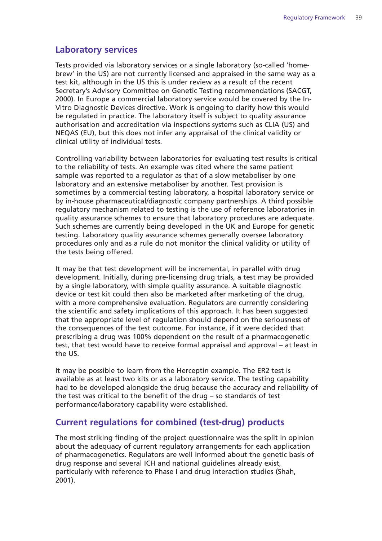#### **Laboratory services**

Tests provided via laboratory services or a single laboratory (so-called 'homebrew' in the US) are not currently licensed and appraised in the same way as a test kit, although in the US this is under review as a result of the recent Secretary's Advisory Committee on Genetic Testing recommendations (SACGT, 2000). In Europe a commercial laboratory service would be covered by the In-Vitro Diagnostic Devices directive. Work is ongoing to clarify how this would be regulated in practice. The laboratory itself is subject to quality assurance authorisation and accreditation via inspections systems such as CLIA (US) and NEQAS (EU), but this does not infer any appraisal of the clinical validity or clinical utility of individual tests.

Controlling variability between laboratories for evaluating test results is critical to the reliability of tests. An example was cited where the same patient sample was reported to a regulator as that of a slow metaboliser by one laboratory and an extensive metaboliser by another. Test provision is sometimes by a commercial testing laboratory, a hospital laboratory service or by in-house pharmaceutical/diagnostic company partnerships. A third possible regulatory mechanism related to testing is the use of reference laboratories in quality assurance schemes to ensure that laboratory procedures are adequate. Such schemes are currently being developed in the UK and Europe for genetic testing. Laboratory quality assurance schemes generally oversee laboratory procedures only and as a rule do not monitor the clinical validity or utility of the tests being offered.

It may be that test development will be incremental, in parallel with drug development. Initially, during pre-licensing drug trials, a test may be provided by a single laboratory, with simple quality assurance. A suitable diagnostic device or test kit could then also be marketed after marketing of the drug, with a more comprehensive evaluation. Regulators are currently considering the scientific and safety implications of this approach. It has been suggested that the appropriate level of regulation should depend on the seriousness of the consequences of the test outcome. For instance, if it were decided that prescribing a drug was 100% dependent on the result of a pharmacogenetic test, that test would have to receive formal appraisal and approval – at least in the US.

It may be possible to learn from the Herceptin example. The ER2 test is available as at least two kits or as a laboratory service. The testing capability had to be developed alongside the drug because the accuracy and reliability of the test was critical to the benefit of the drug – so standards of test performance/laboratory capability were established.

#### **Current regulations for combined (test-drug) products**

The most striking finding of the project questionnaire was the split in opinion about the adequacy of current regulatory arrangements for each application of pharmacogenetics. Regulators are well informed about the genetic basis of drug response and several ICH and national guidelines already exist, particularly with reference to Phase I and drug interaction studies (Shah, 2001).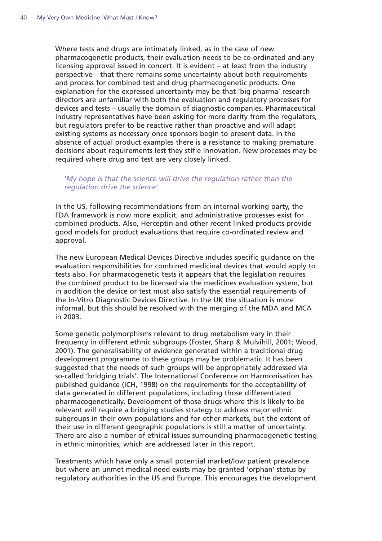Where tests and drugs are intimately linked, as in the case of new pharmacogenetic products, their evaluation needs to be co-ordinated and any licensing approval issued in concert. It is evident – at least from the industry perspective – that there remains some uncertainty about both requirements and process for combined test and drug pharmacogenetic products. One explanation for the expressed uncertainty may be that 'big pharma' research directors are unfamiliar with both the evaluation and regulatory processes for devices and tests – usually the domain of diagnostic companies. Pharmaceutical industry representatives have been asking for more clarity from the regulators, but regulators prefer to be reactive rather than proactive and will adapt existing systems as necessary once sponsors begin to present data. In the absence of actual product examples there is a resistance to making premature decisions about requirements lest they stifle innovation. New processes may be required where drug and test are very closely linked.

#### *'My hope is that the science will drive the regulation rather than the regulation drive the science'*

In the US, following recommendations from an internal working party, the FDA framework is now more explicit, and administrative processes exist for combined products. Also, Herceptin and other recent linked products provide good models for product evaluations that require co-ordinated review and approval.

The new European Medical Devices Directive includes specific guidance on the evaluation responsibilities for combined medicinal devices that would apply to tests also. For pharmacogenetic tests it appears that the legislation requires the combined product to be licensed via the medicines evaluation system, but in addition the device or test must also satisfy the essential requirements of the In-Vitro Diagnostic Devices Directive. In the UK the situation is more informal, but this should be resolved with the merging of the MDA and MCA in 2003.

Some genetic polymorphisms relevant to drug metabolism vary in their frequency in different ethnic subgroups (Foster, Sharp & Mulvihill, 2001; Wood, 2001). The generalisability of evidence generated within a traditional drug development programme to these groups may be problematic. It has been suggested that the needs of such groups will be appropriately addressed via so-called 'bridging trials'. The International Conference on Harmonisation has published guidance (ICH, 1998) on the requirements for the acceptability of data generated in different populations, including those differentiated pharmacogenetically. Development of those drugs where this is likely to be relevant will require a bridging studies strategy to address major ethnic subgroups in their own populations and for other markets, but the extent of their use in different geographic populations is still a matter of uncertainty. There are also a number of ethical issues surrounding pharmacogenetic testing in ethnic minorities, which are addressed later in this report.

Treatments which have only a small potential market/low patient prevalence but where an unmet medical need exists may be granted 'orphan' status by regulatory authorities in the US and Europe. This encourages the development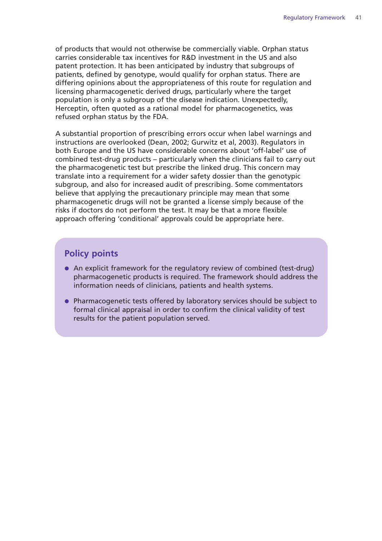of products that would not otherwise be commercially viable. Orphan status carries considerable tax incentives for R&D investment in the US and also patent protection. It has been anticipated by industry that subgroups of patients, defined by genotype, would qualify for orphan status. There are differing opinions about the appropriateness of this route for regulation and licensing pharmacogenetic derived drugs, particularly where the target population is only a subgroup of the disease indication. Unexpectedly, Herceptin, often quoted as a rational model for pharmacogenetics, was refused orphan status by the FDA.

A substantial proportion of prescribing errors occur when label warnings and instructions are overlooked (Dean, 2002; Gurwitz et al, 2003). Regulators in both Europe and the US have considerable concerns about 'off-label' use of combined test-drug products – particularly when the clinicians fail to carry out the pharmacogenetic test but prescribe the linked drug. This concern may translate into a requirement for a wider safety dossier than the genotypic subgroup, and also for increased audit of prescribing. Some commentators believe that applying the precautionary principle may mean that some pharmacogenetic drugs will not be granted a license simply because of the risks if doctors do not perform the test. It may be that a more flexible approach offering 'conditional' approvals could be appropriate here.

#### **Policy points**

- An explicit framework for the regulatory review of combined (test-drug) pharmacogenetic products is required. The framework should address the information needs of clinicians, patients and health systems.
- Pharmacogenetic tests offered by laboratory services should be subject to formal clinical appraisal in order to confirm the clinical validity of test results for the patient population served.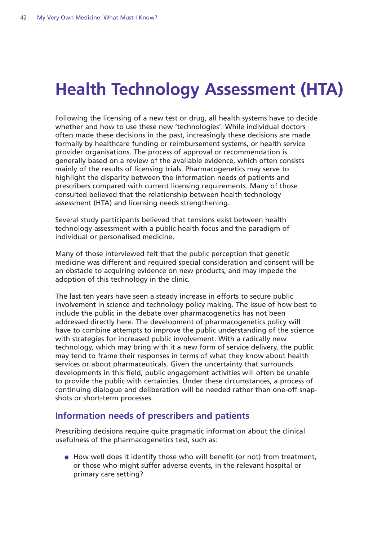# **Health Technology Assessment (HTA)**

Following the licensing of a new test or drug, all health systems have to decide whether and how to use these new 'technologies'. While individual doctors often made these decisions in the past, increasingly these decisions are made formally by healthcare funding or reimbursement systems, or health service provider organisations. The process of approval or recommendation is generally based on a review of the available evidence, which often consists mainly of the results of licensing trials. Pharmacogenetics may serve to highlight the disparity between the information needs of patients and prescribers compared with current licensing requirements. Many of those consulted believed that the relationship between health technology assessment (HTA) and licensing needs strengthening.

Several study participants believed that tensions exist between health technology assessment with a public health focus and the paradigm of individual or personalised medicine.

Many of those interviewed felt that the public perception that genetic medicine was different and required special consideration and consent will be an obstacle to acquiring evidence on new products, and may impede the adoption of this technology in the clinic.

The last ten years have seen a steady increase in efforts to secure public involvement in science and technology policy making. The issue of how best to include the public in the debate over pharmacogenetics has not been addressed directly here. The development of pharmacogenetics policy will have to combine attempts to improve the public understanding of the science with strategies for increased public involvement. With a radically new technology, which may bring with it a new form of service delivery, the public may tend to frame their responses in terms of what they know about health services or about pharmaceuticals. Given the uncertainty that surrounds developments in this field, public engagement activities will often be unable to provide the public with certainties. Under these circumstances, a process of continuing dialogue and deliberation will be needed rather than one-off snapshots or short-term processes.

#### **Information needs of prescribers and patients**

Prescribing decisions require quite pragmatic information about the clinical usefulness of the pharmacogenetics test, such as:

● How well does it identify those who will benefit (or not) from treatment, or those who might suffer adverse events, in the relevant hospital or primary care setting?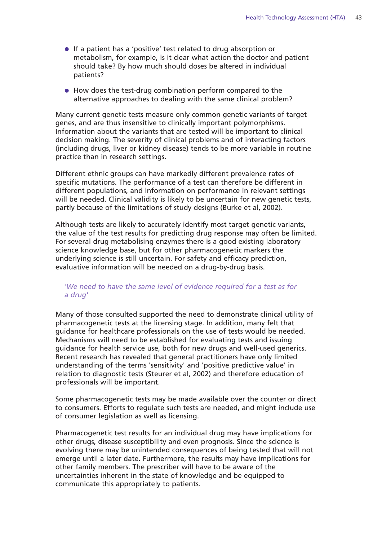- If a patient has a 'positive' test related to drug absorption or metabolism, for example, is it clear what action the doctor and patient should take? By how much should doses be altered in individual patients?
- How does the test-drug combination perform compared to the alternative approaches to dealing with the same clinical problem?

Many current genetic tests measure only common genetic variants of target genes, and are thus insensitive to clinically important polymorphisms. Information about the variants that are tested will be important to clinical decision making. The severity of clinical problems and of interacting factors (including drugs, liver or kidney disease) tends to be more variable in routine practice than in research settings.

Different ethnic groups can have markedly different prevalence rates of specific mutations. The performance of a test can therefore be different in different populations, and information on performance in relevant settings will be needed. Clinical validity is likely to be uncertain for new genetic tests, partly because of the limitations of study designs (Burke et al, 2002).

Although tests are likely to accurately identify most target genetic variants, the value of the test results for predicting drug response may often be limited. For several drug metabolising enzymes there is a good existing laboratory science knowledge base, but for other pharmacogenetic markers the underlying science is still uncertain. For safety and efficacy prediction, evaluative information will be needed on a drug-by-drug basis.

#### *'We need to have the same level of evidence required for a test as for a drug'*

Many of those consulted supported the need to demonstrate clinical utility of pharmacogenetic tests at the licensing stage. In addition, many felt that guidance for healthcare professionals on the use of tests would be needed. Mechanisms will need to be established for evaluating tests and issuing guidance for health service use, both for new drugs and well-used generics. Recent research has revealed that general practitioners have only limited understanding of the terms 'sensitivity' and 'positive predictive value' in relation to diagnostic tests (Steurer et al, 2002) and therefore education of professionals will be important.

Some pharmacogenetic tests may be made available over the counter or direct to consumers. Efforts to regulate such tests are needed, and might include use of consumer legislation as well as licensing.

Pharmacogenetic test results for an individual drug may have implications for other drugs, disease susceptibility and even prognosis. Since the science is evolving there may be unintended consequences of being tested that will not emerge until a later date. Furthermore, the results may have implications for other family members. The prescriber will have to be aware of the uncertainties inherent in the state of knowledge and be equipped to communicate this appropriately to patients.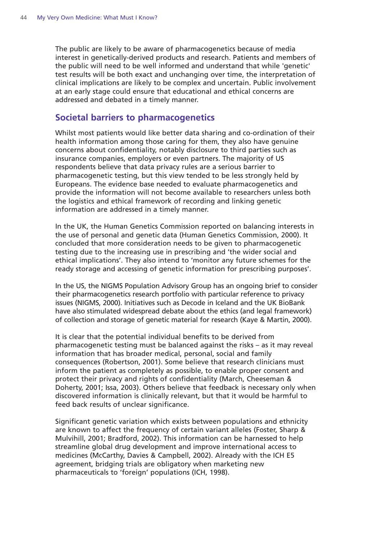The public are likely to be aware of pharmacogenetics because of media interest in genetically-derived products and research. Patients and members of the public will need to be well informed and understand that while 'genetic' test results will be both exact and unchanging over time, the interpretation of clinical implications are likely to be complex and uncertain. Public involvement at an early stage could ensure that educational and ethical concerns are addressed and debated in a timely manner.

#### **Societal barriers to pharmacogenetics**

Whilst most patients would like better data sharing and co-ordination of their health information among those caring for them, they also have genuine concerns about confidentiality, notably disclosure to third parties such as insurance companies, employers or even partners. The majority of US respondents believe that data privacy rules are a serious barrier to pharmacogenetic testing, but this view tended to be less strongly held by Europeans. The evidence base needed to evaluate pharmacogenetics and provide the information will not become available to researchers unless both the logistics and ethical framework of recording and linking genetic information are addressed in a timely manner.

In the UK, the Human Genetics Commission reported on balancing interests in the use of personal and genetic data (Human Genetics Commission, 2000). It concluded that more consideration needs to be given to pharmacogenetic testing due to the increasing use in prescribing and 'the wider social and ethical implications'. They also intend to 'monitor any future schemes for the ready storage and accessing of genetic information for prescribing purposes'.

In the US, the NIGMS Population Advisory Group has an ongoing brief to consider their pharmacogenetics research portfolio with particular reference to privacy issues (NIGMS, 2000). Initiatives such as Decode in Iceland and the UK BioBank have also stimulated widespread debate about the ethics (and legal framework) of collection and storage of genetic material for research (Kaye & Martin, 2000).

It is clear that the potential individual benefits to be derived from pharmacogenetic testing must be balanced against the risks – as it may reveal information that has broader medical, personal, social and family consequences (Robertson, 2001). Some believe that research clinicians must inform the patient as completely as possible, to enable proper consent and protect their privacy and rights of confidentiality (March, Cheeseman & Doherty, 2001; Issa, 2003). Others believe that feedback is necessary only when discovered information is clinically relevant, but that it would be harmful to feed back results of unclear significance.

Significant genetic variation which exists between populations and ethnicity are known to affect the frequency of certain variant alleles (Foster, Sharp & Mulvihill, 2001; Bradford, 2002). This information can be harnessed to help streamline global drug development and improve international access to medicines (McCarthy, Davies & Campbell, 2002). Already with the ICH E5 agreement, bridging trials are obligatory when marketing new pharmaceuticals to 'foreign' populations (ICH, 1998).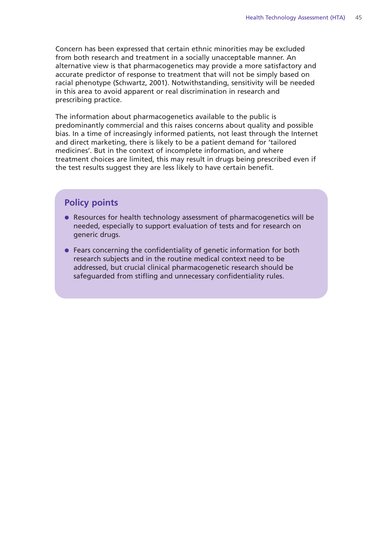Concern has been expressed that certain ethnic minorities may be excluded from both research and treatment in a socially unacceptable manner. An alternative view is that pharmacogenetics may provide a more satisfactory and accurate predictor of response to treatment that will not be simply based on racial phenotype (Schwartz, 2001). Notwithstanding, sensitivity will be needed in this area to avoid apparent or real discrimination in research and prescribing practice.

The information about pharmacogenetics available to the public is predominantly commercial and this raises concerns about quality and possible bias. In a time of increasingly informed patients, not least through the Internet and direct marketing, there is likely to be a patient demand for 'tailored medicines'. But in the context of incomplete information, and where treatment choices are limited, this may result in drugs being prescribed even if the test results suggest they are less likely to have certain benefit.

#### **Policy points**

- Resources for health technology assessment of pharmacogenetics will be needed, especially to support evaluation of tests and for research on generic drugs.
- Fears concerning the confidentiality of genetic information for both research subjects and in the routine medical context need to be addressed, but crucial clinical pharmacogenetic research should be safeguarded from stifling and unnecessary confidentiality rules.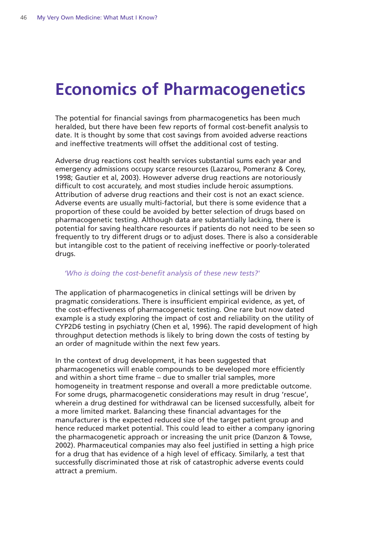### **Economics of Pharmacogenetics**

The potential for financial savings from pharmacogenetics has been much heralded, but there have been few reports of formal cost-benefit analysis to date. It is thought by some that cost savings from avoided adverse reactions and ineffective treatments will offset the additional cost of testing.

Adverse drug reactions cost health services substantial sums each year and emergency admissions occupy scarce resources (Lazarou, Pomeranz & Corey, 1998; Gautier et al, 2003). However adverse drug reactions are notoriously difficult to cost accurately, and most studies include heroic assumptions. Attribution of adverse drug reactions and their cost is not an exact science. Adverse events are usually multi-factorial, but there is some evidence that a proportion of these could be avoided by better selection of drugs based on pharmacogenetic testing. Although data are substantially lacking, there is potential for saving healthcare resources if patients do not need to be seen so frequently to try different drugs or to adjust doses. There is also a considerable but intangible cost to the patient of receiving ineffective or poorly-tolerated drugs.

#### *'Who is doing the cost-benefit analysis of these new tests?'*

The application of pharmacogenetics in clinical settings will be driven by pragmatic considerations. There is insufficient empirical evidence, as yet, of the cost-effectiveness of pharmacogenetic testing. One rare but now dated example is a study exploring the impact of cost and reliability on the utility of CYP2D6 testing in psychiatry (Chen et al, 1996). The rapid development of high throughput detection methods is likely to bring down the costs of testing by an order of magnitude within the next few years.

In the context of drug development, it has been suggested that pharmacogenetics will enable compounds to be developed more efficiently and within a short time frame – due to smaller trial samples, more homogeneity in treatment response and overall a more predictable outcome. For some drugs, pharmacogenetic considerations may result in drug 'rescue', wherein a drug destined for withdrawal can be licensed successfully, albeit for a more limited market. Balancing these financial advantages for the manufacturer is the expected reduced size of the target patient group and hence reduced market potential. This could lead to either a company ignoring the pharmacogenetic approach or increasing the unit price (Danzon & Towse, 2002). Pharmaceutical companies may also feel justified in setting a high price for a drug that has evidence of a high level of efficacy. Similarly, a test that successfully discriminated those at risk of catastrophic adverse events could attract a premium.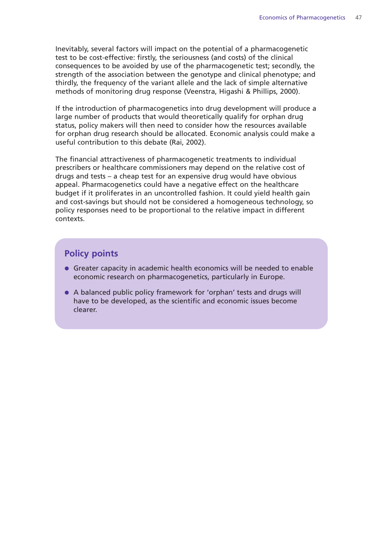Inevitably, several factors will impact on the potential of a pharmacogenetic test to be cost-effective: firstly, the seriousness (and costs) of the clinical consequences to be avoided by use of the pharmacogenetic test; secondly, the strength of the association between the genotype and clinical phenotype; and thirdly, the frequency of the variant allele and the lack of simple alternative methods of monitoring drug response (Veenstra, Higashi & Phillips, 2000).

If the introduction of pharmacogenetics into drug development will produce a large number of products that would theoretically qualify for orphan drug status, policy makers will then need to consider how the resources available for orphan drug research should be allocated. Economic analysis could make a useful contribution to this debate (Rai, 2002).

The financial attractiveness of pharmacogenetic treatments to individual prescribers or healthcare commissioners may depend on the relative cost of drugs and tests – a cheap test for an expensive drug would have obvious appeal. Pharmacogenetics could have a negative effect on the healthcare budget if it proliferates in an uncontrolled fashion. It could yield health gain and cost-savings but should not be considered a homogeneous technology, so policy responses need to be proportional to the relative impact in different contexts.

#### **Policy points**

- Greater capacity in academic health economics will be needed to enable economic research on pharmacogenetics, particularly in Europe.
- A balanced public policy framework for 'orphan' tests and drugs will have to be developed, as the scientific and economic issues become clearer.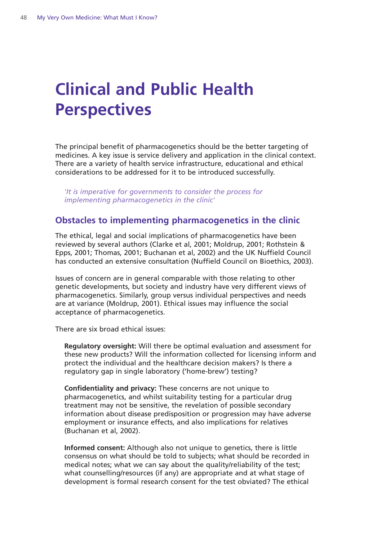# **Clinical and Public Health Perspectives**

The principal benefit of pharmacogenetics should be the better targeting of medicines. A key issue is service delivery and application in the clinical context. There are a variety of health service infrastructure, educational and ethical considerations to be addressed for it to be introduced successfully.

*'It is imperative for governments to consider the process for implementing pharmacogenetics in the clinic'*

#### **Obstacles to implementing pharmacogenetics in the clinic**

The ethical, legal and social implications of pharmacogenetics have been reviewed by several authors (Clarke et al, 2001; Moldrup, 2001; Rothstein & Epps, 2001; Thomas, 2001; Buchanan et al, 2002) and the UK Nuffield Council has conducted an extensive consultation (Nuffield Council on Bioethics, 2003).

Issues of concern are in general comparable with those relating to other genetic developments, but society and industry have very different views of pharmacogenetics. Similarly, group versus individual perspectives and needs are at variance (Moldrup, 2001). Ethical issues may influence the social acceptance of pharmacogenetics.

There are six broad ethical issues:

**Regulatory oversight:** Will there be optimal evaluation and assessment for these new products? Will the information collected for licensing inform and protect the individual and the healthcare decision makers? Is there a regulatory gap in single laboratory ('home-brew') testing?

**Confidentiality and privacy:** These concerns are not unique to pharmacogenetics, and whilst suitability testing for a particular drug treatment may not be sensitive, the revelation of possible secondary information about disease predisposition or progression may have adverse employment or insurance effects, and also implications for relatives (Buchanan et al, 2002).

**Informed consent:** Although also not unique to genetics, there is little consensus on what should be told to subjects; what should be recorded in medical notes; what we can say about the quality/reliability of the test; what counselling/resources (if any) are appropriate and at what stage of development is formal research consent for the test obviated? The ethical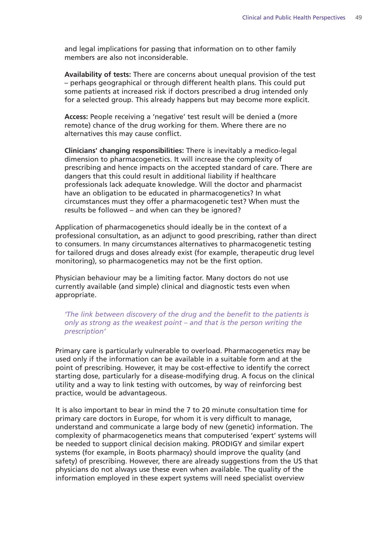and legal implications for passing that information on to other family members are also not inconsiderable.

**Availability of tests:** There are concerns about unequal provision of the test – perhaps geographical or through different health plans. This could put some patients at increased risk if doctors prescribed a drug intended only for a selected group. This already happens but may become more explicit.

**Access:** People receiving a 'negative' test result will be denied a (more remote) chance of the drug working for them. Where there are no alternatives this may cause conflict.

**Clinicians' changing responsibilities:** There is inevitably a medico-legal dimension to pharmacogenetics. It will increase the complexity of prescribing and hence impacts on the accepted standard of care. There are dangers that this could result in additional liability if healthcare professionals lack adequate knowledge. Will the doctor and pharmacist have an obligation to be educated in pharmacogenetics? In what circumstances must they offer a pharmacogenetic test? When must the results be followed – and when can they be ignored?

Application of pharmacogenetics should ideally be in the context of a professional consultation, as an adjunct to good prescribing, rather than direct to consumers. In many circumstances alternatives to pharmacogenetic testing for tailored drugs and doses already exist (for example, therapeutic drug level monitoring), so pharmacogenetics may not be the first option.

Physician behaviour may be a limiting factor. Many doctors do not use currently available (and simple) clinical and diagnostic tests even when appropriate.

*'The link between discovery of the drug and the benefit to the patients is only as strong as the weakest point – and that is the person writing the prescription'*

Primary care is particularly vulnerable to overload. Pharmacogenetics may be used only if the information can be available in a suitable form and at the point of prescribing. However, it may be cost-effective to identify the correct starting dose, particularly for a disease-modifying drug. A focus on the clinical utility and a way to link testing with outcomes, by way of reinforcing best practice, would be advantageous.

It is also important to bear in mind the 7 to 20 minute consultation time for primary care doctors in Europe, for whom it is very difficult to manage, understand and communicate a large body of new (genetic) information. The complexity of pharmacogenetics means that computerised 'expert' systems will be needed to support clinical decision making. PRODIGY and similar expert systems (for example, in Boots pharmacy) should improve the quality (and safety) of prescribing. However, there are already suggestions from the US that physicians do not always use these even when available. The quality of the information employed in these expert systems will need specialist overview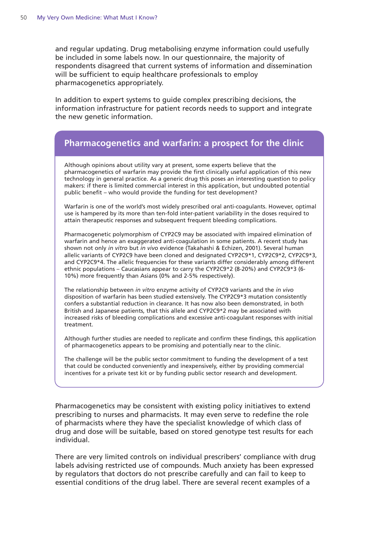and regular updating. Drug metabolising enzyme information could usefully be included in some labels now. In our questionnaire, the majority of respondents disagreed that current systems of information and dissemination will be sufficient to equip healthcare professionals to employ pharmacogenetics appropriately.

In addition to expert systems to guide complex prescribing decisions, the information infrastructure for patient records needs to support and integrate the new genetic information.

#### **Pharmacogenetics and warfarin: a prospect for the clinic**

Although opinions about utility vary at present, some experts believe that the pharmacogenetics of warfarin may provide the first clinically useful application of this new technology in general practice. As a generic drug this poses an interesting question to policy makers: if there is limited commercial interest in this application, but undoubted potential public benefit – who would provide the funding for test development?

Warfarin is one of the world's most widely prescribed oral anti-coagulants. However, optimal use is hampered by its more than ten-fold inter-patient variability in the doses required to attain therapeutic responses and subsequent frequent bleeding complications.

Pharmacogenetic polymorphism of CYP2C9 may be associated with impaired elimination of warfarin and hence an exaggerated anti-coagulation in some patients. A recent study has shown not only *in vitro* but *in vivo* evidence (Takahashi & Echizen, 2001). Several human allelic variants of CYP2C9 have been cloned and designated CYP2C9\*1, CYP2C9\*2, CYP2C9\*3, and CYP2C9\*4. The allelic frequencies for these variants differ considerably among different ethnic populations – Caucasians appear to carry the CYP2C9\*2 (8-20%) and CYP2C9\*3 (6- 10%) more frequently than Asians (0% and 2-5% respectively).

The relationship between *in vitro* enzyme activity of CYP2C9 variants and the *in vivo* disposition of warfarin has been studied extensively. The CYP2C9\*3 mutation consistently confers a substantial reduction in clearance. It has now also been demonstrated, in both British and Japanese patients, that this allele and CYP2C9\*2 may be associated with increased risks of bleeding complications and excessive anti-coagulant responses with initial treatment.

Although further studies are needed to replicate and confirm these findings, this application of pharmacogenetics appears to be promising and potentially near to the clinic.

The challenge will be the public sector commitment to funding the development of a test that could be conducted conveniently and inexpensively, either by providing commercial incentives for a private test kit or by funding public sector research and development.

Pharmacogenetics may be consistent with existing policy initiatives to extend prescribing to nurses and pharmacists. It may even serve to redefine the role of pharmacists where they have the specialist knowledge of which class of drug and dose will be suitable, based on stored genotype test results for each individual.

There are very limited controls on individual prescribers' compliance with drug labels advising restricted use of compounds. Much anxiety has been expressed by regulators that doctors do not prescribe carefully and can fail to keep to essential conditions of the drug label. There are several recent examples of a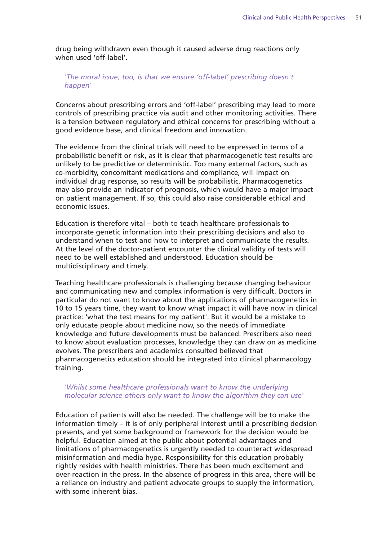drug being withdrawn even though it caused adverse drug reactions only when used 'off-label'.

#### *'The moral issue, too, is that we ensure 'off-label' prescribing doesn't happen'*

Concerns about prescribing errors and 'off-label' prescribing may lead to more controls of prescribing practice via audit and other monitoring activities. There is a tension between regulatory and ethical concerns for prescribing without a good evidence base, and clinical freedom and innovation.

The evidence from the clinical trials will need to be expressed in terms of a probabilistic benefit or risk, as it is clear that pharmacogenetic test results are unlikely to be predictive or deterministic. Too many external factors, such as co-morbidity, concomitant medications and compliance, will impact on individual drug response, so results will be probabilistic. Pharmacogenetics may also provide an indicator of prognosis, which would have a major impact on patient management. If so, this could also raise considerable ethical and economic issues.

Education is therefore vital – both to teach healthcare professionals to incorporate genetic information into their prescribing decisions and also to understand when to test and how to interpret and communicate the results. At the level of the doctor-patient encounter the clinical validity of tests will need to be well established and understood. Education should be multidisciplinary and timely.

Teaching healthcare professionals is challenging because changing behaviour and communicating new and complex information is very difficult. Doctors in particular do not want to know about the applications of pharmacogenetics in 10 to 15 years time, they want to know what impact it will have now in clinical practice: 'what the test means for my patient'. But it would be a mistake to only educate people about medicine now, so the needs of immediate knowledge and future developments must be balanced. Prescribers also need to know about evaluation processes, knowledge they can draw on as medicine evolves. The prescribers and academics consulted believed that pharmacogenetics education should be integrated into clinical pharmacology training.

#### *'Whilst some healthcare professionals want to know the underlying molecular science others only want to know the algorithm they can use'*

Education of patients will also be needed. The challenge will be to make the information timely – it is of only peripheral interest until a prescribing decision presents, and yet some background or framework for the decision would be helpful. Education aimed at the public about potential advantages and limitations of pharmacogenetics is urgently needed to counteract widespread misinformation and media hype. Responsibility for this education probably rightly resides with health ministries. There has been much excitement and over-reaction in the press. In the absence of progress in this area, there will be a reliance on industry and patient advocate groups to supply the information, with some inherent bias.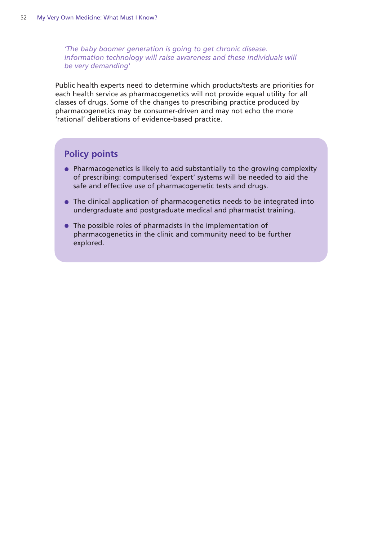*'The baby boomer generation is going to get chronic disease. Information technology will raise awareness and these individuals will be very demanding'*

Public health experts need to determine which products/tests are priorities for each health service as pharmacogenetics will not provide equal utility for all classes of drugs. Some of the changes to prescribing practice produced by pharmacogenetics may be consumer-driven and may not echo the more 'rational' deliberations of evidence-based practice.

#### **Policy points**

- Pharmacogenetics is likely to add substantially to the growing complexity of prescribing: computerised 'expert' systems will be needed to aid the safe and effective use of pharmacogenetic tests and drugs.
- The clinical application of pharmacogenetics needs to be integrated into undergraduate and postgraduate medical and pharmacist training.
- The possible roles of pharmacists in the implementation of pharmacogenetics in the clinic and community need to be further explored.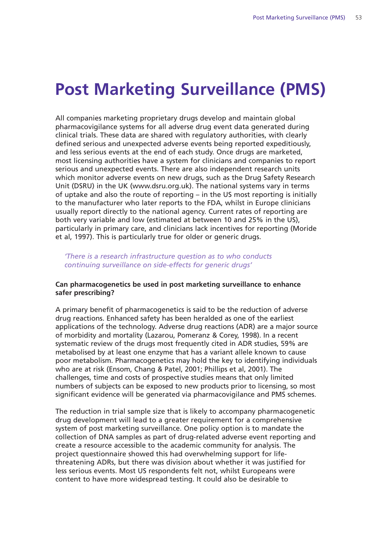### **Post Marketing Surveillance (PMS)**

All companies marketing proprietary drugs develop and maintain global pharmacovigilance systems for all adverse drug event data generated during clinical trials. These data are shared with regulatory authorities, with clearly defined serious and unexpected adverse events being reported expeditiously, and less serious events at the end of each study. Once drugs are marketed, most licensing authorities have a system for clinicians and companies to report serious and unexpected events. There are also independent research units which monitor adverse events on new drugs, such as the Drug Safety Research Unit (DSRU) in the UK (www.dsru.org.uk). The national systems vary in terms of uptake and also the route of reporting – in the US most reporting is initially to the manufacturer who later reports to the FDA, whilst in Europe clinicians usually report directly to the national agency. Current rates of reporting are both very variable and low (estimated at between 10 and 25% in the US), particularly in primary care, and clinicians lack incentives for reporting (Moride et al, 1997). This is particularly true for older or generic drugs.

*'There is a research infrastructure question as to who conducts continuing surveillance on side-effects for generic drugs'*

#### **Can pharmacogenetics be used in post marketing surveillance to enhance safer prescribing?**

A primary benefit of pharmacogenetics is said to be the reduction of adverse drug reactions. Enhanced safety has been heralded as one of the earliest applications of the technology. Adverse drug reactions (ADR) are a major source of morbidity and mortality (Lazarou, Pomeranz & Corey, 1998). In a recent systematic review of the drugs most frequently cited in ADR studies, 59% are metabolised by at least one enzyme that has a variant allele known to cause poor metabolism. Pharmacogenetics may hold the key to identifying individuals who are at risk (Ensom, Chang & Patel, 2001; Phillips et al, 2001). The challenges, time and costs of prospective studies means that only limited numbers of subjects can be exposed to new products prior to licensing, so most significant evidence will be generated via pharmacovigilance and PMS schemes.

The reduction in trial sample size that is likely to accompany pharmacogenetic drug development will lead to a greater requirement for a comprehensive system of post marketing surveillance. One policy option is to mandate the collection of DNA samples as part of drug-related adverse event reporting and create a resource accessible to the academic community for analysis. The project questionnaire showed this had overwhelming support for lifethreatening ADRs, but there was division about whether it was justified for less serious events. Most US respondents felt not, whilst Europeans were content to have more widespread testing. It could also be desirable to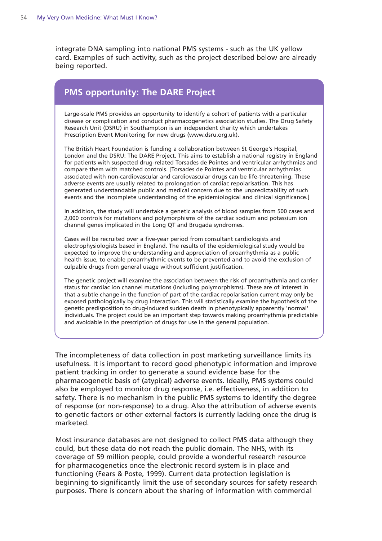integrate DNA sampling into national PMS systems - such as the UK yellow card. Examples of such activity, such as the project described below are already being reported.

#### **PMS opportunity: The DARE Project**

Large-scale PMS provides an opportunity to identify a cohort of patients with a particular disease or complication and conduct pharmacogenetics association studies. The Drug Safety Research Unit (DSRU) in Southampton is an independent charity which undertakes Prescription Event Monitoring for new drugs (www.dsru.org.uk).

The British Heart Foundation is funding a collaboration between St George's Hospital, London and the DSRU: The DARE Project. This aims to establish a national registry in England for patients with suspected drug-related Torsades de Pointes and ventricular arrhythmias and compare them with matched controls. [Torsades de Pointes and ventricular arrhythmias associated with non-cardiovascular and cardiovascular drugs can be life-threatening. These adverse events are usually related to prolongation of cardiac repolarisation. This has generated understandable public and medical concern due to the unpredictability of such events and the incomplete understanding of the epidemiological and clinical significance.]

In addition, the study will undertake a genetic analysis of blood samples from 500 cases and 2,000 controls for mutations and polymorphisms of the cardiac sodium and potassium ion channel genes implicated in the Long QT and Brugada syndromes.

Cases will be recruited over a five-year period from consultant cardiologists and electrophysiologists based in England. The results of the epidemiological study would be expected to improve the understanding and appreciation of proarrhythmia as a public health issue, to enable proarrhythmic events to be prevented and to avoid the exclusion of culpable drugs from general usage without sufficient justification.

The genetic project will examine the association between the risk of proarrhythmia and carrier status for cardiac ion channel mutations (including polymorphisms). These are of interest in that a subtle change in the function of part of the cardiac repolarisation current may only be exposed pathologically by drug interaction. This will statistically examine the hypothesis of the genetic predisposition to drug-induced sudden death in phenotypically apparently 'normal' individuals. The project could be an important step towards making proarrhythmia predictable and avoidable in the prescription of drugs for use in the general population.

The incompleteness of data collection in post marketing surveillance limits its usefulness. It is important to record good phenotypic information and improve patient tracking in order to generate a sound evidence base for the pharmacogenetic basis of (atypical) adverse events. Ideally, PMS systems could also be employed to monitor drug response, i.e. effectiveness, in addition to safety. There is no mechanism in the public PMS systems to identify the degree of response (or non-response) to a drug. Also the attribution of adverse events to genetic factors or other external factors is currently lacking once the drug is marketed.

Most insurance databases are not designed to collect PMS data although they could, but these data do not reach the public domain. The NHS, with its coverage of 59 million people, could provide a wonderful research resource for pharmacogenetics once the electronic record system is in place and functioning (Fears & Poste, 1999). Current data protection legislation is beginning to significantly limit the use of secondary sources for safety research purposes. There is concern about the sharing of information with commercial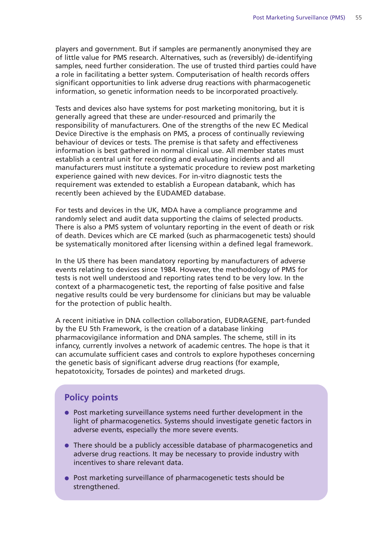players and government. But if samples are permanently anonymised they are of little value for PMS research. Alternatives, such as (reversibly) de-identifying samples, need further consideration. The use of trusted third parties could have a role in facilitating a better system. Computerisation of health records offers significant opportunities to link adverse drug reactions with pharmacogenetic information, so genetic information needs to be incorporated proactively.

Tests and devices also have systems for post marketing monitoring, but it is generally agreed that these are under-resourced and primarily the responsibility of manufacturers. One of the strengths of the new EC Medical Device Directive is the emphasis on PMS, a process of continually reviewing behaviour of devices or tests. The premise is that safety and effectiveness information is best gathered in normal clinical use. All member states must establish a central unit for recording and evaluating incidents and all manufacturers must institute a systematic procedure to review post marketing experience gained with new devices. For in-vitro diagnostic tests the requirement was extended to establish a European databank, which has recently been achieved by the EUDAMED database.

For tests and devices in the UK, MDA have a compliance programme and randomly select and audit data supporting the claims of selected products. There is also a PMS system of voluntary reporting in the event of death or risk of death. Devices which are CE marked (such as pharmacogenetic tests) should be systematically monitored after licensing within a defined legal framework.

In the US there has been mandatory reporting by manufacturers of adverse events relating to devices since 1984. However, the methodology of PMS for tests is not well understood and reporting rates tend to be very low. In the context of a pharmacogenetic test, the reporting of false positive and false negative results could be very burdensome for clinicians but may be valuable for the protection of public health.

A recent initiative in DNA collection collaboration, EUDRAGENE, part-funded by the EU 5th Framework, is the creation of a database linking pharmacovigilance information and DNA samples. The scheme, still in its infancy, currently involves a network of academic centres. The hope is that it can accumulate sufficient cases and controls to explore hypotheses concerning the genetic basis of significant adverse drug reactions (for example, hepatotoxicity, Torsades de pointes) and marketed drugs.

#### **Policy points**

- Post marketing surveillance systems need further development in the light of pharmacogenetics. Systems should investigate genetic factors in adverse events, especially the more severe events.
- There should be a publicly accessible database of pharmacogenetics and adverse drug reactions. It may be necessary to provide industry with incentives to share relevant data.
- Post marketing surveillance of pharmacogenetic tests should be strengthened.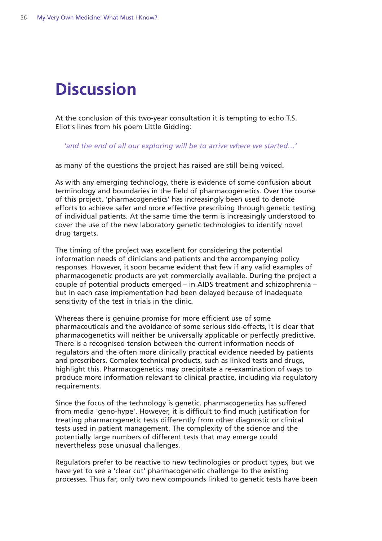# **Discussion**

At the conclusion of this two-year consultation it is tempting to echo T.S. Eliot's lines from his poem Little Gidding:

*'and the end of all our exploring will be to arrive where we started…'*

as many of the questions the project has raised are still being voiced.

As with any emerging technology, there is evidence of some confusion about terminology and boundaries in the field of pharmacogenetics. Over the course of this project, 'pharmacogenetics' has increasingly been used to denote efforts to achieve safer and more effective prescribing through genetic testing of individual patients. At the same time the term is increasingly understood to cover the use of the new laboratory genetic technologies to identify novel drug targets.

The timing of the project was excellent for considering the potential information needs of clinicians and patients and the accompanying policy responses. However, it soon became evident that few if any valid examples of pharmacogenetic products are yet commercially available. During the project a couple of potential products emerged – in AIDS treatment and schizophrenia – but in each case implementation had been delayed because of inadequate sensitivity of the test in trials in the clinic.

Whereas there is genuine promise for more efficient use of some pharmaceuticals and the avoidance of some serious side-effects, it is clear that pharmacogenetics will neither be universally applicable or perfectly predictive. There is a recognised tension between the current information needs of regulators and the often more clinically practical evidence needed by patients and prescribers. Complex technical products, such as linked tests and drugs, highlight this. Pharmacogenetics may precipitate a re-examination of ways to produce more information relevant to clinical practice, including via regulatory requirements.

Since the focus of the technology is genetic, pharmacogenetics has suffered from media 'geno-hype'. However, it is difficult to find much justification for treating pharmacogenetic tests differently from other diagnostic or clinical tests used in patient management. The complexity of the science and the potentially large numbers of different tests that may emerge could nevertheless pose unusual challenges.

Regulators prefer to be reactive to new technologies or product types, but we have yet to see a 'clear cut' pharmacogenetic challenge to the existing processes. Thus far, only two new compounds linked to genetic tests have been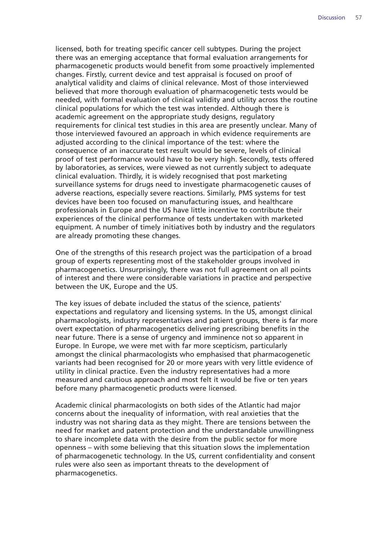licensed, both for treating specific cancer cell subtypes. During the project there was an emerging acceptance that formal evaluation arrangements for pharmacogenetic products would benefit from some proactively implemented changes. Firstly, current device and test appraisal is focused on proof of analytical validity and claims of clinical relevance. Most of those interviewed believed that more thorough evaluation of pharmacogenetic tests would be needed, with formal evaluation of clinical validity and utility across the routine clinical populations for which the test was intended. Although there is academic agreement on the appropriate study designs, regulatory requirements for clinical test studies in this area are presently unclear. Many of those interviewed favoured an approach in which evidence requirements are adjusted according to the clinical importance of the test: where the consequence of an inaccurate test result would be severe, levels of clinical proof of test performance would have to be very high. Secondly, tests offered by laboratories, as services, were viewed as not currently subject to adequate clinical evaluation. Thirdly, it is widely recognised that post marketing surveillance systems for drugs need to investigate pharmacogenetic causes of adverse reactions, especially severe reactions. Similarly, PMS systems for test devices have been too focused on manufacturing issues, and healthcare professionals in Europe and the US have little incentive to contribute their experiences of the clinical performance of tests undertaken with marketed equipment. A number of timely initiatives both by industry and the regulators are already promoting these changes.

One of the strengths of this research project was the participation of a broad group of experts representing most of the stakeholder groups involved in pharmacogenetics. Unsurprisingly, there was not full agreement on all points of interest and there were considerable variations in practice and perspective between the UK, Europe and the US.

The key issues of debate included the status of the science, patients' expectations and regulatory and licensing systems. In the US, amongst clinical pharmacologists, industry representatives and patient groups, there is far more overt expectation of pharmacogenetics delivering prescribing benefits in the near future. There is a sense of urgency and imminence not so apparent in Europe. In Europe, we were met with far more scepticism, particularly amongst the clinical pharmacologists who emphasised that pharmacogenetic variants had been recognised for 20 or more years with very little evidence of utility in clinical practice. Even the industry representatives had a more measured and cautious approach and most felt it would be five or ten years before many pharmacogenetic products were licensed.

Academic clinical pharmacologists on both sides of the Atlantic had major concerns about the inequality of information, with real anxieties that the industry was not sharing data as they might. There are tensions between the need for market and patent protection and the understandable unwillingness to share incomplete data with the desire from the public sector for more openness – with some believing that this situation slows the implementation of pharmacogenetic technology. In the US, current confidentiality and consent rules were also seen as important threats to the development of pharmacogenetics.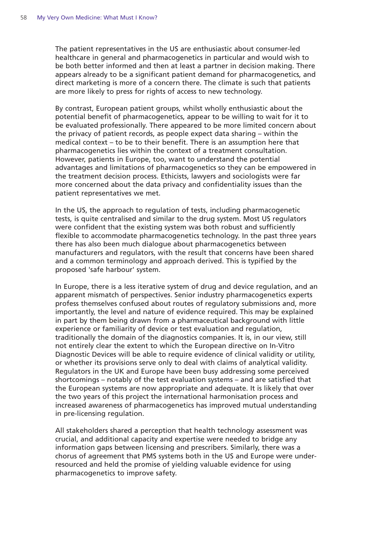The patient representatives in the US are enthusiastic about consumer-led healthcare in general and pharmacogenetics in particular and would wish to be both better informed and then at least a partner in decision making. There appears already to be a significant patient demand for pharmacogenetics, and direct marketing is more of a concern there. The climate is such that patients are more likely to press for rights of access to new technology.

By contrast, European patient groups, whilst wholly enthusiastic about the potential benefit of pharmacogenetics, appear to be willing to wait for it to be evaluated professionally. There appeared to be more limited concern about the privacy of patient records, as people expect data sharing – within the medical context – to be to their benefit. There is an assumption here that pharmacogenetics lies within the context of a treatment consultation. However, patients in Europe, too, want to understand the potential advantages and limitations of pharmacogenetics so they can be empowered in the treatment decision process. Ethicists, lawyers and sociologists were far more concerned about the data privacy and confidentiality issues than the patient representatives we met.

In the US, the approach to regulation of tests, including pharmacogenetic tests, is quite centralised and similar to the drug system. Most US regulators were confident that the existing system was both robust and sufficiently flexible to accommodate pharmacogenetics technology. In the past three years there has also been much dialogue about pharmacogenetics between manufacturers and regulators, with the result that concerns have been shared and a common terminology and approach derived. This is typified by the proposed 'safe harbour' system.

In Europe, there is a less iterative system of drug and device regulation, and an apparent mismatch of perspectives. Senior industry pharmacogenetics experts profess themselves confused about routes of regulatory submissions and, more importantly, the level and nature of evidence required. This may be explained in part by them being drawn from a pharmaceutical background with little experience or familiarity of device or test evaluation and regulation, traditionally the domain of the diagnostics companies. It is, in our view, still not entirely clear the extent to which the European directive on In-Vitro Diagnostic Devices will be able to require evidence of clinical validity or utility, or whether its provisions serve only to deal with claims of analytical validity. Regulators in the UK and Europe have been busy addressing some perceived shortcomings – notably of the test evaluation systems – and are satisfied that the European systems are now appropriate and adequate. It is likely that over the two years of this project the international harmonisation process and increased awareness of pharmacogenetics has improved mutual understanding in pre-licensing regulation.

All stakeholders shared a perception that health technology assessment was crucial, and additional capacity and expertise were needed to bridge any information gaps between licensing and prescribers. Similarly, there was a chorus of agreement that PMS systems both in the US and Europe were underresourced and held the promise of yielding valuable evidence for using pharmacogenetics to improve safety.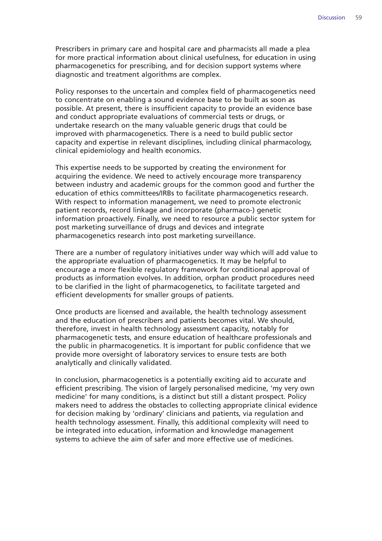Prescribers in primary care and hospital care and pharmacists all made a plea for more practical information about clinical usefulness, for education in using pharmacogenetics for prescribing, and for decision support systems where diagnostic and treatment algorithms are complex.

Policy responses to the uncertain and complex field of pharmacogenetics need to concentrate on enabling a sound evidence base to be built as soon as possible. At present, there is insufficient capacity to provide an evidence base and conduct appropriate evaluations of commercial tests or drugs, or undertake research on the many valuable generic drugs that could be improved with pharmacogenetics. There is a need to build public sector capacity and expertise in relevant disciplines, including clinical pharmacology, clinical epidemiology and health economics.

This expertise needs to be supported by creating the environment for acquiring the evidence. We need to actively encourage more transparency between industry and academic groups for the common good and further the education of ethics committees/IRBs to facilitate pharmacogenetics research. With respect to information management, we need to promote electronic patient records, record linkage and incorporate (pharmaco-) genetic information proactively. Finally, we need to resource a public sector system for post marketing surveillance of drugs and devices and integrate pharmacogenetics research into post marketing surveillance.

There are a number of regulatory initiatives under way which will add value to the appropriate evaluation of pharmacogenetics. It may be helpful to encourage a more flexible regulatory framework for conditional approval of products as information evolves. In addition, orphan product procedures need to be clarified in the light of pharmacogenetics, to facilitate targeted and efficient developments for smaller groups of patients.

Once products are licensed and available, the health technology assessment and the education of prescribers and patients becomes vital. We should, therefore, invest in health technology assessment capacity, notably for pharmacogenetic tests, and ensure education of healthcare professionals and the public in pharmacogenetics. It is important for public confidence that we provide more oversight of laboratory services to ensure tests are both analytically and clinically validated.

In conclusion, pharmacogenetics is a potentially exciting aid to accurate and efficient prescribing. The vision of largely personalised medicine, 'my very own medicine' for many conditions, is a distinct but still a distant prospect. Policy makers need to address the obstacles to collecting appropriate clinical evidence for decision making by 'ordinary' clinicians and patients, via regulation and health technology assessment. Finally, this additional complexity will need to be integrated into education, information and knowledge management systems to achieve the aim of safer and more effective use of medicines.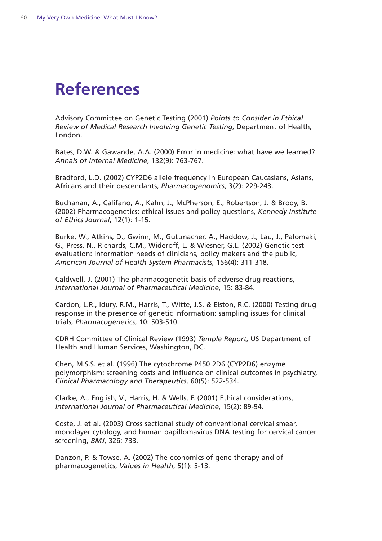## **References**

Advisory Committee on Genetic Testing (2001) *Points to Consider in Ethical Review of Medical Research Involving Genetic Testing*, Department of Health, London.

Bates, D.W. & Gawande, A.A. (2000) Error in medicine: what have we learned? *Annals of Internal Medicine*, 132(9): 763-767.

Bradford, L.D. (2002) CYP2D6 allele frequency in European Caucasians, Asians, Africans and their descendants, *Pharmacogenomics*, 3(2): 229-243.

Buchanan, A., Califano, A., Kahn, J., McPherson, E., Robertson, J. & Brody, B. (2002) Pharmacogenetics: ethical issues and policy questions, *Kennedy Institute of Ethics Journal*, 12(1): 1-15.

Burke, W., Atkins, D., Gwinn, M., Guttmacher, A., Haddow, J., Lau, J., Palomaki, G., Press, N., Richards, C.M., Wideroff, L. & Wiesner, G.L. (2002) Genetic test evaluation: information needs of clinicians, policy makers and the public, *American Journal of Health-System Pharmacists*, 156(4): 311-318.

Caldwell, J. (2001) The pharmacogenetic basis of adverse drug reactions, *International Journal of Pharmaceutical Medicine*, 15: 83-84.

Cardon, L.R., Idury, R.M., Harris, T., Witte, J.S. & Elston, R.C. (2000) Testing drug response in the presence of genetic information: sampling issues for clinical trials, *Pharmacogenetics*, 10: 503-510.

CDRH Committee of Clinical Review (1993) *Temple Report*, US Department of Health and Human Services, Washington, DC.

Chen, M.S.S. et al. (1996) The cytochrome P450 2D6 (CYP2D6) enzyme polymorphism: screening costs and influence on clinical outcomes in psychiatry, *Clinical Pharmacology and Therapeutics*, 60(5): 522-534.

Clarke, A., English, V., Harris, H. & Wells, F. (2001) Ethical considerations, *International Journal of Pharmaceutical Medicine*, 15(2): 89-94.

Coste, J. et al. (2003) Cross sectional study of conventional cervical smear, monolayer cytology, and human papillomavirus DNA testing for cervical cancer screening, *BMJ*, 326: 733.

Danzon, P. & Towse, A. (2002) The economics of gene therapy and of pharmacogenetics, *Values in Health*, 5(1): 5-13.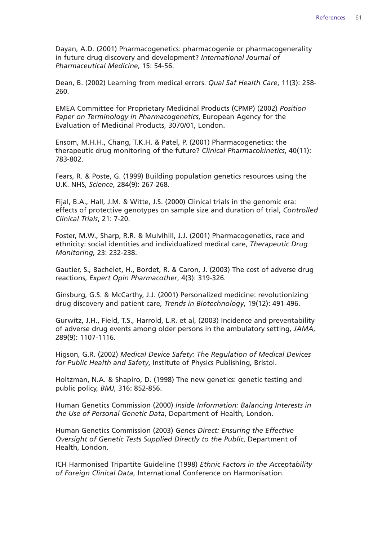Dayan, A.D. (2001) Pharmacogenetics: pharmacogenie or pharmacogenerality in future drug discovery and development? *International Journal of Pharmaceutical Medicine*, 15: 54-56.

Dean, B. (2002) Learning from medical errors. *Qual Saf Health Care*, 11(3): 258- 260.

EMEA Committee for Proprietary Medicinal Products (CPMP) (2002) *Position Paper on Terminology in Pharmacogenetics*, European Agency for the Evaluation of Medicinal Products, 3070/01, London.

Ensom, M.H.H., Chang, T.K.H. & Patel, P. (2001) Pharmacogenetics: the therapeutic drug monitoring of the future? *Clinical Pharmacokinetics*, 40(11): 783-802.

Fears, R. & Poste, G. (1999) Building population genetics resources using the U.K. NHS, *Science*, 284(9): 267-268.

Fijal, B.A., Hall, J.M. & Witte, J.S. (2000) Clinical trials in the genomic era: effects of protective genotypes on sample size and duration of trial, *Controlled Clinical Trials*, 21: 7-20.

Foster, M.W., Sharp, R.R. & Mulvihill, J.J. (2001) Pharmacogenetics, race and ethnicity: social identities and individualized medical care, *Therapeutic Drug Monitoring*, 23: 232-238.

Gautier, S., Bachelet, H., Bordet, R. & Caron, J. (2003) The cost of adverse drug reactions, *Expert Opin Pharmacother*, 4(3): 319-326.

Ginsburg, G.S. & McCarthy, J.J. (2001) Personalized medicine: revolutionizing drug discovery and patient care, *Trends in Biotechnology*, 19(12): 491-496.

Gurwitz, J.H., Field, T.S., Harrold, L.R. et al, (2003) Incidence and preventability of adverse drug events among older persons in the ambulatory setting, *JAMA*, 289(9): 1107-1116.

Higson, G.R. (2002) *Medical Device Safety: The Regulation of Medical Devices for Public Health and Safety*, Institute of Physics Publishing, Bristol.

Holtzman, N.A. & Shapiro, D. (1998) The new genetics: genetic testing and public policy, *BMJ*, 316: 852-856.

Human Genetics Commission (2000) *Inside Information: Balancing Interests in the Use of Personal Genetic Data*, Department of Health, London.

Human Genetics Commission (2003) *Genes Direct: Ensuring the Effective Oversight of Genetic Tests Supplied Directly to the Public*, Department of Health, London.

ICH Harmonised Tripartite Guideline (1998) *Ethnic Factors in the Acceptability of Foreign Clinical Data*, International Conference on Harmonisation.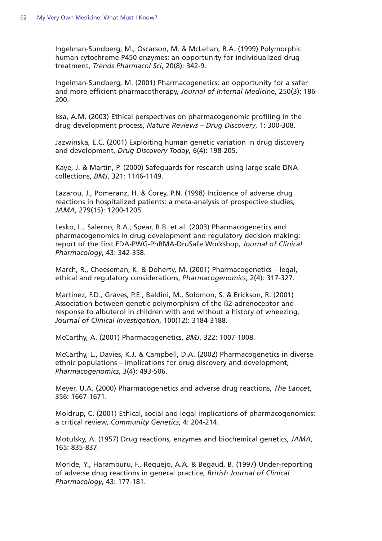Ingelman-Sundberg, M., Oscarson, M. & McLellan, R.A. (1999) Polymorphic human cytochrome P450 enzymes: an opportunity for individualized drug treatment, *Trends Pharmacol Sci*, 20(8): 342-9.

Ingelman-Sundberg, M. (2001) Pharmacogenetics: an opportunity for a safer and more efficient pharmacotherapy, *Journal of Internal Medicine*, 250(3): 186- 200.

Issa, A.M. (2003) Ethical perspectives on pharmacogenomic profiling in the drug development process, *Nature Reviews – Drug Discovery*, 1: 300-308.

Jazwinska, E.C. (2001) Exploiting human genetic variation in drug discovery and development, *Drug Discovery Today*, 6(4): 198-205.

Kaye, J. & Martin, P. (2000) Safeguards for research using large scale DNA collections, *BMJ*, 321: 1146-1149.

Lazarou, J., Pomeranz, H. & Corey, P.N. (1998) Incidence of adverse drug reactions in hospitalized patients: a meta-analysis of prospective studies, *JAMA*, 279(15): 1200-1205.

Lesko, L., Salerno, R.A., Spear, B.B. et al. (2003) Pharmacogenetics and pharmacogenomics in drug development and regulatory decision making: report of the first FDA-PWG-PhRMA-DruSafe Workshop, *Journal of Clinical Pharmacology*, 43: 342-358.

March, R., Cheeseman, K. & Doherty, M. (2001) Pharmacogenetics – legal, ethical and regulatory considerations, *Pharmacogenomics*, 2(4): 317-327.

Martinez, F.D., Graves, P.E., Baldini, M., Solomon, S. & Erickson, R. (2001) Association between genetic polymorphism of the ß2-adrenoceptor and response to albuterol in children with and without a history of wheezing, *Journal of Clinical Investigation*, 100(12): 3184-3188.

McCarthy, A. (2001) Pharmacogenetics, *BMJ*, 322: 1007-1008.

McCarthy, L., Davies, K.J. & Campbell, D.A. (2002) Pharmacogenetics in diverse ethnic populations – implications for drug discovery and development, *Pharmacogenomics*, 3(4): 493-506.

Meyer, U.A. (2000) Pharmacogenetics and adverse drug reactions, *The Lancet*, 356: 1667-1671.

Moldrup, C. (2001) Ethical, social and legal implications of pharmacogenomics: a critical review, *Community Genetics*, 4: 204-214.

Motulsky, A. (1957) Drug reactions, enzymes and biochemical genetics, *JAMA*, 165: 835-837.

Moride, Y., Haramburu, F., Requejo, A.A. & Begaud, B. (1997) Under-reporting of adverse drug reactions in general practice, *British Journal of Clinical Pharmacology*, 43: 177-181.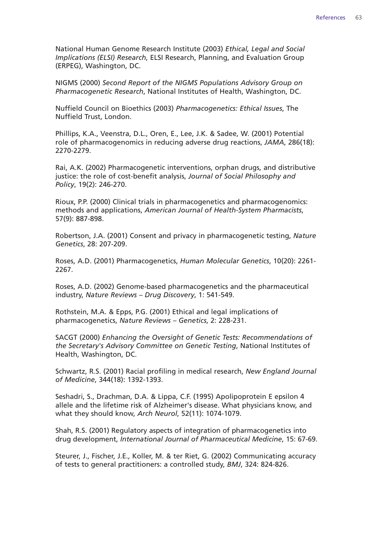National Human Genome Research Institute (2003) *Ethical, Legal and Social Implications (ELSI) Research*, ELSI Research, Planning, and Evaluation Group (ERPEG), Washington, DC.

NIGMS (2000) *Second Report of the NIGMS Populations Advisory Group on Pharmacogenetic Research*, National Institutes of Health, Washington, DC.

Nuffield Council on Bioethics (2003) *Pharmacogenetics: Ethical Issues*, The Nuffield Trust, London.

Phillips, K.A., Veenstra, D.L., Oren, E., Lee, J.K. & Sadee, W. (2001) Potential role of pharmacogenomics in reducing adverse drug reactions, *JAMA*, 286(18): 2270-2279.

Rai, A.K. (2002) Pharmacogenetic interventions, orphan drugs, and distributive justice: the role of cost-benefit analysis, *Journal of Social Philosophy and Policy*, 19(2): 246-270.

Rioux, P.P. (2000) Clinical trials in pharmacogenetics and pharmacogenomics: methods and applications, *American Journal of Health-System Pharmacists*, 57(9): 887-898.

Robertson, J.A. (2001) Consent and privacy in pharmacogenetic testing, *Nature Genetics*, 28: 207-209.

Roses, A.D. (2001) Pharmacogenetics, *Human Molecular Genetics*, 10(20): 2261- 2267.

Roses, A.D. (2002) Genome-based pharmacogenetics and the pharmaceutical industry, *Nature Reviews – Drug Discovery*, 1: 541-549.

Rothstein, M.A. & Epps, P.G. (2001) Ethical and legal implications of pharmacogenetics, *Nature Reviews – Genetics*, 2: 228-231.

SACGT (2000) *Enhancing the Oversight of Genetic Tests: Recommendations of the Secretary's Advisory Committee on Genetic Testing*, National Institutes of Health, Washington, DC.

Schwartz, R.S. (2001) Racial profiling in medical research, *New England Journal of Medicine*, 344(18): 1392-1393.

Seshadri, S., Drachman, D.A. & Lippa, C.F. (1995) Apolipoprotein E epsilon 4 allele and the lifetime risk of Alzheimer's disease. What physicians know, and what they should know, *Arch Neurol*, 52(11): 1074-1079.

Shah, R.S. (2001) Regulatory aspects of integration of pharmacogenetics into drug development, *International Journal of Pharmaceutical Medicine*, 15: 67-69.

Steurer, J., Fischer, J.E., Koller, M. & ter Riet, G. (2002) Communicating accuracy of tests to general practitioners: a controlled study, *BMJ*, 324: 824-826.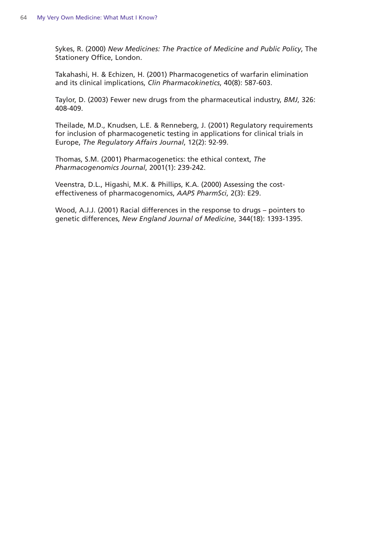Sykes, R. (2000) *New Medicines: The Practice of Medicine and Public Policy*, The Stationery Office, London.

Takahashi, H. & Echizen, H. (2001) Pharmacogenetics of warfarin elimination and its clinical implications, *Clin Pharmacokinetics*, 40(8): 587-603.

Taylor, D. (2003) Fewer new drugs from the pharmaceutical industry, *BMJ*, 326: 408-409.

Theilade, M.D., Knudsen, L.E. & Renneberg, J. (2001) Regulatory requirements for inclusion of pharmacogenetic testing in applications for clinical trials in Europe, *The Regulatory Affairs Journal*, 12(2): 92-99.

Thomas, S.M. (2001) Pharmacogenetics: the ethical context, *The Pharmacogenomics Journal*, 2001(1): 239-242.

Veenstra, D.L., Higashi, M.K. & Phillips, K.A. (2000) Assessing the costeffectiveness of pharmacogenomics, *AAPS PharmSci*, 2(3): E29.

Wood, A.J.J. (2001) Racial differences in the response to drugs – pointers to genetic differences, *New England Journal of Medicine*, 344(18): 1393-1395.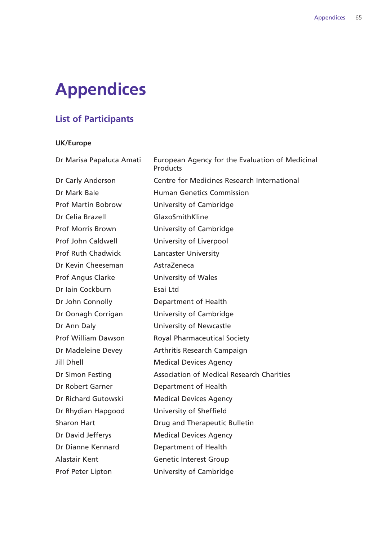# **Appendices**

#### **List of Participants**

#### **UK/Europe**

Dr Marisa Papaluca Amati European Agency for the Evaluation of Medicinal **Products** Dr Carly Anderson Centre for Medicines Research International Dr Mark Bale **Human Genetics Commission** Prof Martin Bobrow University of Cambridge Dr Celia Brazell GlaxoSmithKline Prof Morris Brown University of Cambridge Prof John Caldwell University of Liverpool Prof Ruth Chadwick Lancaster University Dr Kevin Cheeseman AstraZeneca Prof Angus Clarke University of Wales Dr Iain Cockburn Esai Ltd Dr John Connolly Department of Health Dr Oonagh Corrigan University of Cambridge Dr Ann Daly **University of Newcastle** Prof William Dawson Royal Pharmaceutical Society Dr Madeleine Devey **Arthritis Research Campaign** Jill Dhell Medical Devices Agency Dr Simon Festing **Association of Medical Research Charities** Dr Robert Garner **Department of Health** Dr Richard Gutowski Medical Devices Agency Dr Rhydian Hapgood University of Sheffield Sharon Hart **Drug and Therapeutic Bulletin** Dr David Jefferys Medical Devices Agency Dr Dianne Kennard Department of Health Alastair Kent Genetic Interest Group Prof Peter Lipton University of Cambridge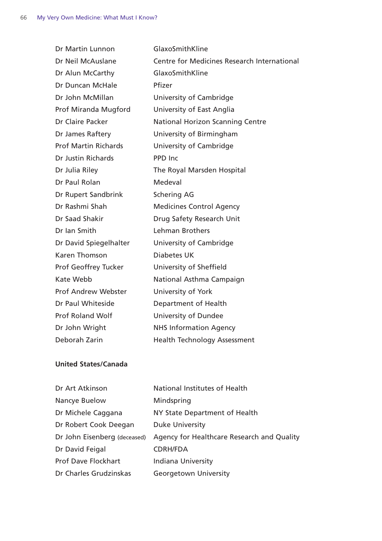| Dr Martin Lunnon            | GlaxoSmithKline                                    |
|-----------------------------|----------------------------------------------------|
| Dr Neil McAuslane           | <b>Centre for Medicines Research International</b> |
| Dr Alun McCarthy            | GlaxoSmithKline                                    |
| Dr Duncan McHale            | Pfizer                                             |
| Dr John McMillan            | University of Cambridge                            |
| Prof Miranda Mugford        | University of East Anglia                          |
| Dr Claire Packer            | <b>National Horizon Scanning Centre</b>            |
| Dr James Raftery            | University of Birmingham                           |
| <b>Prof Martin Richards</b> | University of Cambridge                            |
| Dr Justin Richards          | PPD Inc                                            |
| Dr Julia Riley              | The Royal Marsden Hospital                         |
| Dr Paul Rolan               | Medeval                                            |
| Dr Rupert Sandbrink         | <b>Schering AG</b>                                 |
| Dr Rashmi Shah              | <b>Medicines Control Agency</b>                    |
| Dr Saad Shakir              | Drug Safety Research Unit                          |
| Dr Ian Smith                | Lehman Brothers                                    |
| Dr David Spiegelhalter      | University of Cambridge                            |
| <b>Karen Thomson</b>        | <b>Diabetes UK</b>                                 |
| Prof Geoffrey Tucker        | University of Sheffield                            |
| Kate Webb                   | National Asthma Campaign                           |
| <b>Prof Andrew Webster</b>  | University of York                                 |
| Dr Paul Whiteside           | Department of Health                               |
| <b>Prof Roland Wolf</b>     | University of Dundee                               |
| Dr John Wright              | <b>NHS Information Agency</b>                      |
| Deborah Zarin               | <b>Health Technology Assessment</b>                |
|                             |                                                    |

#### **United States/Canada**

| Dr Art Atkinson              | National Institutes of Health              |
|------------------------------|--------------------------------------------|
| Nancye Buelow                | Mindspring                                 |
| Dr Michele Caggana           | NY State Department of Health              |
| Dr Robert Cook Deegan        | <b>Duke University</b>                     |
| Dr John Eisenberg (deceased) | Agency for Healthcare Research and Quality |
| Dr David Feigal              | <b>CDRH/FDA</b>                            |
| <b>Prof Dave Flockhart</b>   | Indiana University                         |
| Dr Charles Grudzinskas       | <b>Georgetown University</b>               |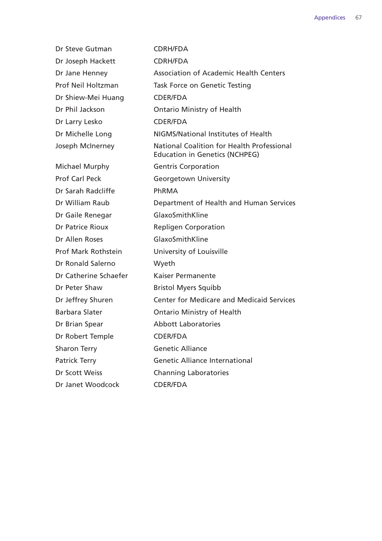| Dr Steve Gutman            | <b>CDRH/FDA</b>                                                                     |
|----------------------------|-------------------------------------------------------------------------------------|
| Dr Joseph Hackett          | <b>CDRH/FDA</b>                                                                     |
| Dr Jane Henney             | <b>Association of Academic Health Centers</b>                                       |
| Prof Neil Holtzman         | Task Force on Genetic Testing                                                       |
| Dr Shiew-Mei Huang         | CDER/FDA                                                                            |
| Dr Phil Jackson            | <b>Ontario Ministry of Health</b>                                                   |
| Dr Larry Lesko             | <b>CDER/FDA</b>                                                                     |
| Dr Michelle Long           | NIGMS/National Institutes of Health                                                 |
| Joseph McInerney           | National Coalition for Health Professional<br><b>Education in Genetics (NCHPEG)</b> |
| Michael Murphy             | <b>Gentris Corporation</b>                                                          |
| <b>Prof Carl Peck</b>      | <b>Georgetown University</b>                                                        |
| Dr Sarah Radcliffe         | PhRMA                                                                               |
| Dr William Raub            | Department of Health and Human Services                                             |
| Dr Gaile Renegar           | GlaxoSmithKline                                                                     |
| <b>Dr Patrice Rioux</b>    | <b>Repligen Corporation</b>                                                         |
| Dr Allen Roses             | GlaxoSmithKline                                                                     |
| <b>Prof Mark Rothstein</b> | University of Louisville                                                            |
| Dr Ronald Salerno          | Wyeth                                                                               |
| Dr Catherine Schaefer      | Kaiser Permanente                                                                   |
| Dr Peter Shaw              | <b>Bristol Myers Squibb</b>                                                         |
| Dr Jeffrey Shuren          | <b>Center for Medicare and Medicaid Services</b>                                    |
| <b>Barbara Slater</b>      | <b>Ontario Ministry of Health</b>                                                   |
| Dr Brian Spear             | <b>Abbott Laboratories</b>                                                          |
| Dr Robert Temple           | <b>CDER/FDA</b>                                                                     |
| <b>Sharon Terry</b>        | <b>Genetic Alliance</b>                                                             |
| <b>Patrick Terry</b>       | <b>Genetic Alliance International</b>                                               |
| Dr Scott Weiss             | <b>Channing Laboratories</b>                                                        |
| Dr Janet Woodcock          | <b>CDER/FDA</b>                                                                     |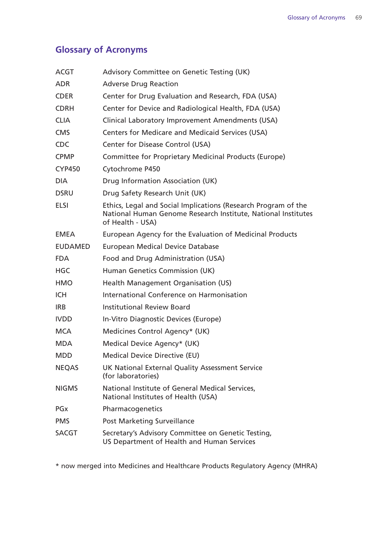#### **Glossary of Acronyms**

| <b>ACGT</b>           | Advisory Committee on Genetic Testing (UK)                                                                                                          |
|-----------------------|-----------------------------------------------------------------------------------------------------------------------------------------------------|
| <b>ADR</b>            | <b>Adverse Drug Reaction</b>                                                                                                                        |
| <b>CDER</b>           | Center for Drug Evaluation and Research, FDA (USA)                                                                                                  |
| <b>CDRH</b>           | Center for Device and Radiological Health, FDA (USA)                                                                                                |
| <b>CLIA</b>           | Clinical Laboratory Improvement Amendments (USA)                                                                                                    |
| <b>CMS</b>            | Centers for Medicare and Medicaid Services (USA)                                                                                                    |
| <b>CDC</b>            | Center for Disease Control (USA)                                                                                                                    |
| <b>CPMP</b>           | Committee for Proprietary Medicinal Products (Europe)                                                                                               |
| <b>CYP450</b>         | Cytochrome P450                                                                                                                                     |
| <b>DIA</b>            | Drug Information Association (UK)                                                                                                                   |
| <b>DSRU</b>           | Drug Safety Research Unit (UK)                                                                                                                      |
| <b>ELSI</b>           | Ethics, Legal and Social Implications (Research Program of the<br>National Human Genome Research Institute, National Institutes<br>of Health - USA) |
| <b>EMEA</b>           | European Agency for the Evaluation of Medicinal Products                                                                                            |
| <b>EUDAMED</b>        | <b>European Medical Device Database</b>                                                                                                             |
| <b>FDA</b>            | Food and Drug Administration (USA)                                                                                                                  |
| <b>HGC</b>            | Human Genetics Commission (UK)                                                                                                                      |
| <b>HMO</b>            | Health Management Organisation (US)                                                                                                                 |
| <b>ICH</b>            | International Conference on Harmonisation                                                                                                           |
| <b>IRB</b>            | <b>Institutional Review Board</b>                                                                                                                   |
| <b>IVDD</b>           | In-Vitro Diagnostic Devices (Europe)                                                                                                                |
| <b>MCA</b>            | Medicines Control Agency* (UK)                                                                                                                      |
| <b>MDA</b>            | Medical Device Agency* (UK)                                                                                                                         |
| <b>MDD</b>            | <b>Medical Device Directive (EU)</b>                                                                                                                |
| <b>NEQAS</b>          | UK National External Quality Assessment Service<br>(for laboratories)                                                                               |
| <b>NIGMS</b>          | National Institute of General Medical Services,<br>National Institutes of Health (USA)                                                              |
| <b>PG<sub>x</sub></b> | Pharmacogenetics                                                                                                                                    |
| <b>PMS</b>            | <b>Post Marketing Surveillance</b>                                                                                                                  |
| <b>SACGT</b>          | Secretary's Advisory Committee on Genetic Testing,<br>US Department of Health and Human Services                                                    |

\* now merged into Medicines and Healthcare Products Regulatory Agency (MHRA)